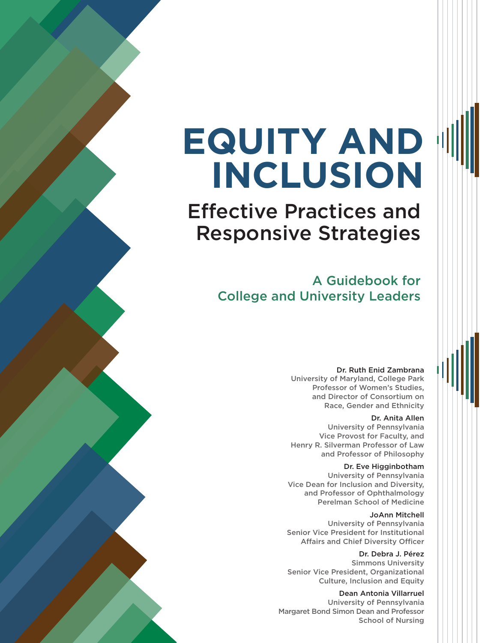# **EQUITY AND INCLUSION**

Effective Practices and Responsive Strategies

> A Guidebook for College and University Leaders

#### Dr. Ruth Enid Zambrana

University of Maryland, College Park Professor of Women's Studies, and Director of Consortium on Race, Gender and Ethnicity

#### Dr. Anita Allen

University of Pennsylvania Vice Provost for Faculty, and Henry R. Silverman Professor of Law and Professor of Philosophy

#### Dr. Eve Higginbotham

University of Pennsylvania Vice Dean for Inclusion and Diversity, and Professor of Ophthalmology Perelman School of Medicine

#### JoAnn Mitchell

University of Pennsylvania Senior Vice President for Institutional Affairs and Chief Diversity Officer

Dr. Debra J. Pérez Simmons University Senior Vice President, Organizational Culture, Inclusion and Equity

#### Dean Antonia Villarruel

University of Pennsylvania Margaret Bond Simon Dean and Professor School of Nursing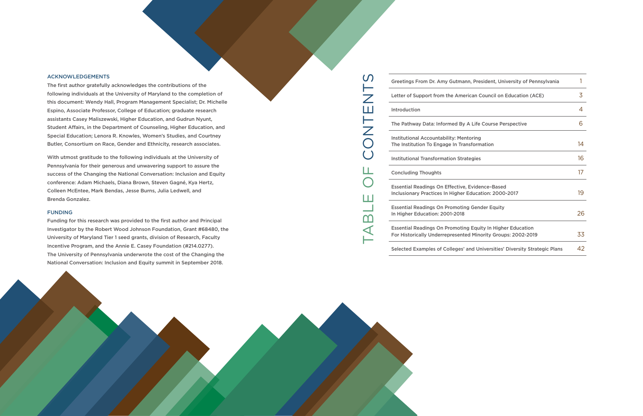TABLE OF CONTENTS

ட

Ш

 $\overline{\mathsf{m}}$ 

 $\blacktriangleleft$ 

NT<br>O

 $\mathcal{O}$ 

 $\overline{Z}$ Ш

Selected Examples of Colleges' and



#### ACKNOWLEDGEMENTS

The first author gratefully acknowledges the contributions of the following individuals at the University of Maryland to the completion of this document: Wendy Hall, Program Management Specialist; Dr. Michelle Espino, Associate Professor, College of Education; graduate research assistants Casey Maliszewski, Higher Education, and Gudrun Nyunt, Student Affairs, in the Department of Counseling, Higher Education, and Special Education; Lenora R. Knowles, Women's Studies, and Courtney Butler, Consortium on Race, Gender and Ethnicity, research associates.

With utmost gratitude to the following individuals at the University of Pennsylvania for their generous and unwavering support to assure the success of the Changing the National Conversation: Inclusion and Equity conference: Adam Michaels, Diana Brown, Steven Gagné, Kya Hertz, Colleen McEntee, Mark Bendas, Jesse Burns, Julia Ledwell, and Brenda Gonzalez.

#### FUNDING

Funding for this research was provided to the first author and Principal Investigator by the Robert Wood Johnson Foundation, Grant #68480, the University of Maryland Tier 1 seed grants, division of Research, Faculty Incentive Program, and the Annie E. Casey Foundation (#214.0277). The University of Pennsylvania underwrote the cost of the Changing the National Conversation: Inclusion and Equity summit in September 2018.

[Greetings From](#page-2-0) Dr. Amy Gutmann, Letter of Support from the America [Introduction](#page-4-0) The Pathway Data: Informed By A L Institutional Accountability: Mentor The Institution To Engage In Transformation **Institutional Transformation Strateg** [Concluding Thoughts](#page-10-0) Essential Readings On Effective, Ev Inclusionary Practices In Higher Edu Essential Readings On Promoting G [In Higher Education: 2001-2018](#page-15-0) Essential Readings On Promoting E For Historically Underrepresented

| President, University of Pennsylvania                           | 1  |
|-----------------------------------------------------------------|----|
| an Council on Education (ACE)                                   | 3  |
|                                                                 | 4  |
| Life Course Perspective                                         | 6  |
| ring<br>ormation                                                | 14 |
| gies                                                            | 16 |
|                                                                 | 17 |
| idence-Based<br>ucation: 2000-2017                              | 19 |
| Gender Equity                                                   | 26 |
| <b>Equity In Higher Education</b><br>Minority Groups: 2002-2019 | 33 |
| d Universities' Diversity Strategic Plans                       | 42 |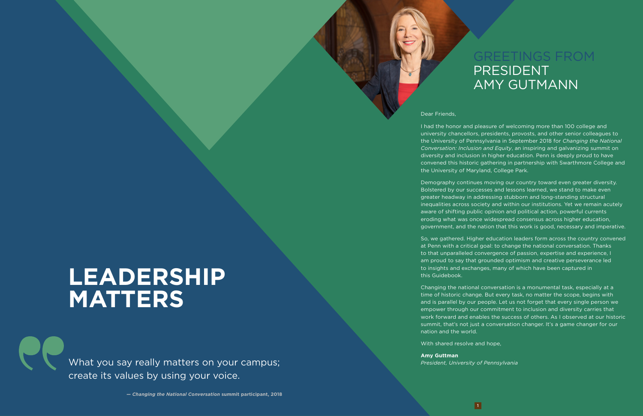# GREETINGS FROM PRESIDENT AMY GUTMANN

#### Dear Friends,

I had the honor and pleasure of welcoming more than 100 college and university chancellors, presidents, provosts, and other senior colleagues to the University of Pennsylvania in September 2018 for *Changing the National Conversation: Inclusion and Equity*, an inspiring and galvanizing summit on diversity and inclusion in higher education. Penn is deeply proud to have convened this historic gathering in partnership with Swarthmore College and the University of Maryland, College Park.

Demography continues moving our country toward even greater diversity. Bolstered by our successes and lessons learned, we stand to make even greater headway in addressing stubborn and long-standing structural inequalities across society and within our institutions. Yet we remain acutely aware of shifting public opinion and political action, powerful currents eroding what was once widespread consensus across higher education, government, and the nation that this work is good, necessary and imperative.

What you say really matters on your campus; *President, University of Pennsylvania* create its values by using your voice.

So, we gathered. Higher education leaders form across the country convened at Penn with a critical goal: to change the national conversation. Thanks to that unparalleled convergence of passion, expertise and experience, I am proud to say that grounded optimism and creative perseverance led to insights and exchanges, many of which have been captured in this Guidebook.

Changing the national conversation is a monumental task, especially at a time of historic change. But every task, no matter the scope, begins with and is parallel by our people. Let us not forget that every single person we empower through our commitment to inclusion and diversity carries that work forward and enables the success of others. As I observed at our historic summit, that's not just a conversation changer. It's a game changer for our nation and the world.

With shared resolve and hope,

**Amy Guttman**

*— Changing the National Conversation* **summit participant, 2018**

# <span id="page-2-0"></span>**LEADERSHIP MATTERS**

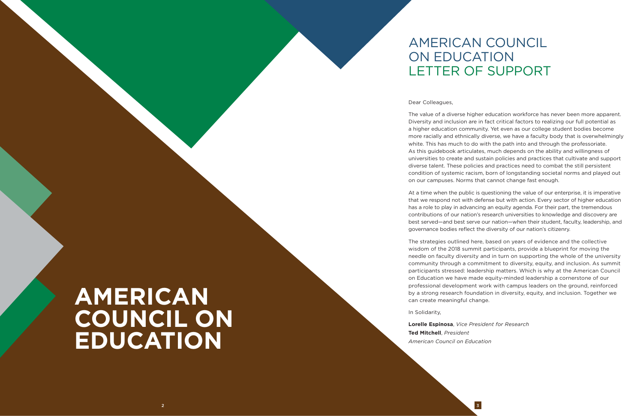#### Dear Colleagues,

The value of a diverse higher education workforce has never been more apparent. Diversity and inclusion are in fact critical factors to realizing our full potential as a higher education community. Yet even as our college student bodies become more racially and ethnically diverse, we have a faculty body that is overwhelmingly white. This has much to do with the path into and through the professoriate. As this guidebook articulates, much depends on the ability and willingness of universities to create and sustain policies and practices that cultivate and support diverse talent. These policies and practices need to combat the still persistent condition of systemic racism, born of longstanding societal norms and played out on our campuses. Norms that cannot change fast enough.

At a time when the public is questioning the value of our enterprise, it is imperative that we respond not with defense but with action. Every sector of higher education has a role to play in advancing an equity agenda. For their part, the tremendous contributions of our nation's research universities to knowledge and discovery are best served—and best serve our nation—when their student, faculty, leadership, and governance bodies reflect the diversity of our nation's citizenry.

# **AMERICAN COUNCIL ON EDUCATION**

The strategies outlined here, based on years of evidence and the collective wisdom of the 2018 summit participants, provide a blueprint for moving the needle on faculty diversity and in turn on supporting the whole of the university community through a commitment to diversity, equity, and inclusion. As summit participants stressed: leadership matters. Which is why at the American Council on Education we have made equity-minded leadership a cornerstone of our professional development work with campus leaders on the ground, reinforced by a strong research foundation in diversity, equity, and inclusion. Together we can create meaningful change.

In Solidarity,

**Lorelle Espinosa**, *Vice President for Research* **Ted Mitchell**, *President American Council on Education*

# AMERICAN COUNCIL ON EDUCATION LETTER OF SUPPORT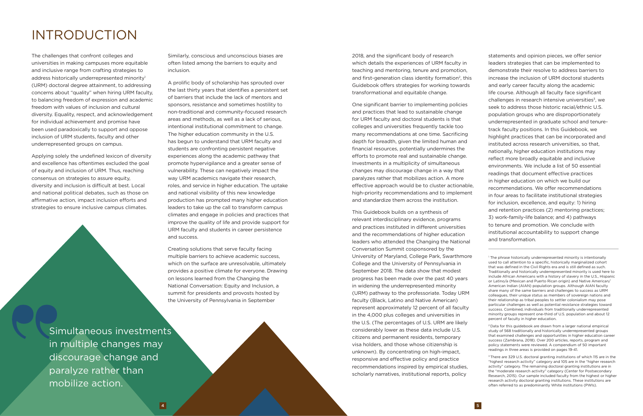The challenges that confront colleges and universities in making campuses more equitable and inclusive range from crafting strategies to address historically underrepresented minority<sup>1</sup> (URM) doctoral degree attainment, to addressing concerns about "quality" when hiring URM faculty, to balancing freedom of expression and academic freedom with values of inclusion and cultural diversity. Equality, respect, and acknowledgement for individual achievement and promise have been used paradoxically to support and oppose inclusion of URM students, faculty and other underrepresented groups on campus.

Applying solely the undefined lexicon of diversity and excellence has oftentimes excluded the goal of equity and inclusion of URM. Thus, reaching consensus on strategies to assure equity, diversity and inclusion is difficult at best. Local and national political debates, such as those on affirmative action, impact inclusion efforts and strategies to ensure inclusive campus climates.

2018, and the significant body of research which details the experiences of URM faculty in teaching and mentoring, tenure and promotion, and first-generation class identity formation<sup>2</sup>, this Guidebook offers strategies for working towards transformational and equitable change.

One significant barrier to implementing policies and practices that lead to sustainable change for URM faculty and doctoral students is that colleges and universities frequently tackle too many recommendations at one time. Sacrificing depth for breadth, given the limited human and financial resources, potentially undermines the efforts to promote real and sustainable change. Investments in a multiplicity of simultaneous changes may discourage change in a way that paralyzes rather that mobilizes action. A more effective approach would be to cluster actionable, high-priority recommendations and to implement and standardize them across the institution.

This Guidebook builds on a synthesis of relevant interdisciplinary evidence, programs and practices instituted in different universities and the recommendations of higher education leaders who attended the Changing the National Conversation Summit cosponsored by the University of Maryland, College Park, Swarthmore College and the University of Pennsylvania in September 2018. The data show that modest progress has been made over the past 40 years in widening the underrepresented minority (URM) pathway to the professoriate. Today URM faculty (Black, Latino and Native American) represent approximately 12 percent of all faculty in the 4,000 plus colleges and universities in the U.S. (The percentages of U.S. URM are likely considerably lower as these data include U.S. citizens and permanent residents, temporary visa holders, and those whose citizenship is unknown). By concentrating on high-impact, responsive and effective policy and practice recommendations inspired by empirical studies, scholarly narratives, institutional reports, policy

Similarly, conscious and unconscious biases are often listed among the barriers to equity and inclusion.

A prolific body of scholarship has sprouted over the last thirty years that identifies a persistent set of barriers that include the lack of mentors and sponsors, resistance and sometimes hostility to non-traditional and community-focused research areas and methods, as well as a lack of serious, intentional institutional commitment to change. The higher education community in the U.S. has begun to understand that URM faculty and students are confronting persistent negative experiences along the academic pathway that promote hypervigilance and a greater sense of vulnerability. These can negatively impact the way URM academics navigate their research, roles, and service in higher education. The uptake and national visibility of this new knowledge production has prompted many higher education leaders to take up the call to transform campus climates and engage in policies and practices that improve the quality of life and provide support for URM faculty and students in career persistence and success.

Creating solutions that serve faculty facing multiple barriers to achieve academic success, which on the surface are unresolvable, ultimately provides a positive climate for everyone. Drawing on lessons learned from the Changing the National Conversation: Equity and Inclusion, a summit for presidents and provosts hosted by the University of Pennsylvania in September

statements and opinion pieces, we offer senior leaders strategies that can be implemented to demonstrate their resolve to address barriers to increase the inclusion of URM doctoral students and early career faculty along the academic life course. Although all faculty face significant challenges in research intensive universities $3$ , we seek to address those historic racial/ethnic U.S. population groups who are disproportionately underrepresented in graduate school and tenuretrack faculty positions. In this Guidebook, we highlight practices that can be incorporated and instituted across research universities, so that, nationally, higher education institutions may reflect more broadly equitable and inclusive environments. We include a list of 50 essential readings that document effective practices in higher education on which we build our recommendations. We offer recommendations in four areas to facilitate institutional strategies for inclusion, excellence, and equity: 1) hiring and retention practices (2) mentoring practices; 3) work-family-life balance; and 4) pathways to tenure and promotion. We conclude with institutional accountability to support change and transformation.

2 Data for this guidebook are drawn from a larger national empirical study of 568 traditionally and historically underrepresented groups that examined challenges and opportunities in higher education career success (Zambrana, 2018). Over 200 articles, reports, program and policy statements were reviewed. A compendium of 50 important readings in three areas is provided on pages 19-41.

# <span id="page-4-0"></span>INTRODUCTION

Simultaneous investments in multiple changes may discourage change and paralyze rather than mobilize action.

<sup>&</sup>lt;sup>3</sup> There are 329 U.S. doctoral granting institutions of which 115 are in the "highest research activity" category and 105 are in the "higher research activity" category. The remaining doctoral granting institutions are in the "moderate research activity" category (Center for Postsecondary Research, 2015). Our sample included faculty from the highest or higher research activity doctoral granting institutions. These institutions are often referred to as predominantly White institutions (PWIs).

<sup>1</sup> The phrase historically underrepresented minority is intentionally used to call attention to a specific, historically marginalized cohort that was defined in the Civil Rights era and is still defined as such. Traditionally and historically underrepresented minority is used here to include African Americans with a history of slavery in the U.S., Hispanic or Latino/a (Mexican and Puerto Rican origin) and Native American/ American Indian (AIAN) population groups. Although AIAN faculty share many of the same barriers and challenges to success as URM colleagues, their unique status as members of sovereign nations and their relationship as tribal peoples to settler colonialism may pose particular challenges as well as potential resistance strategies toward success. Combined, individuals from traditionally underrepresented minority groups represent one-third of U.S. population and about 12 percent of faculty in higher education.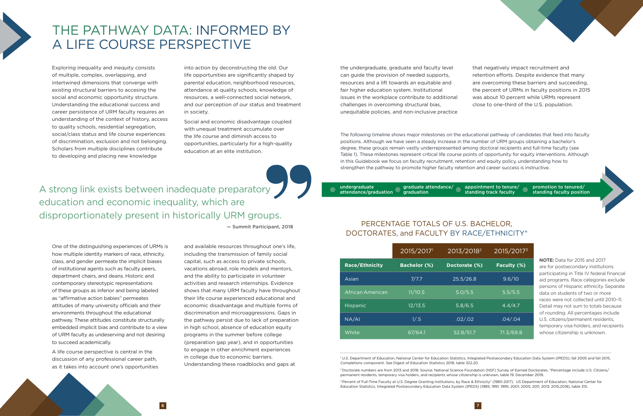|                       | 2015/20171          | 2013/2018 <sup>2</sup> | 2015/20173  |
|-----------------------|---------------------|------------------------|-------------|
| <b>Race/Ethnicity</b> | <b>Bachelor (%)</b> | Doctorate (%)          | Faculty (%) |
| Asian                 | 7/7.7               | 25.5/26.8              | 9.6/10      |
| African American      | 11/10.5             | 5.0/5.5                | 5.5/5.5     |
| Hispanic              | 12/13.5             | 5.8/6.5                | 4.4/4.7     |
| NA/AI                 | 1/.5                | .02/.02                | .04/.04     |
| White                 | 67/64.1             | 52.8/51.7              | 71.3/69.8   |

# <span id="page-5-0"></span>THE PATHWAY DATA: INFORMED BY A LIFE COURSE PERSPECTIVE

Exploring inequality and inequity consists of multiple, complex, overlapping, and intertwined dimensions that converge with existing structural barriers to accesing the social and economic opportunity structure. Understanding the educational success and career persistence of URM faculty requires an understanding of the context of history, access to quality schools, residential segregation, social/class status and life course experiences of discrimination, exclusion and not belonging. Scholars from multiple disciplines contribute to developing and placing new knowledge

into action by deconstructing the old. Our life opportunities are significantly shaped by parental education, neighborhood resources, attendance at quality schools, knowledge of resources, a well-connected social network, and our perception of our status and treatment in society.

Social and economic disadvantage coupled with unequal treatment accumulate over the life course and diminish access to opportunities, particularly for a high-quality education at an elite institution.

the undergraduate, graduate and faculty level can guide the provision of needed supports, resources and a lift towards an equitable and fair higher education system. Institutional issues in the workplace contribute to additional challenges in overcoming structural bias, unequitable policies, and non-inclusive practice that negatively impact recruitment and retention efforts. Despite evidence that many are overcoming these barriers and succeeding, the percent of URMs in faculty positions in 2015 was about 10 percent while URMs represent close to one-third of the U.S. population.

One of the distinguishing experiences of URMs is how multiple identity markers of race, ethnicity, class, and gender permeate the implicit biases of institutional agents such as faculty peers, department chairs, and deans. Historic and contemporary stereotypic representations of these groups as inferior and being labeled as "affirmative action babies" permeates attitudes of many university officials and their environments throughout the educational pathway. These attitudes constitute structurally embedded implicit bias and contribute to a view of URM faculty as undeserving and not desiring to succeed academically.

> <sup>3</sup> Percent of Full-Time Faculty at U.S. Degree Granting Institutions, by Race & Ethnicity\* (1985-2017). US Department of Education, National Center for Education Statistics, Integrated Postsecondary Education Data System (IPEDS) (1985; 1991; 1995; 2001; 2005; 2011; 2013; 2015,2018), table 315.

 $\sim$  6  $\sim$  7

A life course perspective is central in the discussion of any professional career path, as it takes into account one's opportunities

and available resources throughout one's life, including the transmission of family social capital, such as access to private schools, vacations abroad, role models and mentors, and the ability to participate in volunteer activities and research internships. Evidence shows that many URM faculty have throughout their life course experienced educational and economic disadvantage and multiple forms of discrimination and microaggressions. Gaps in the pathway persist due to lack of preparation in high school, absence of education equity programs in the summer before college (preparation gap year), and in opportunities to engage in other enrichment experiences in college due to economic barriers. Understanding these roadblocks and gaps at

A strong link exists between inadequate preparatory education and economic inequality, which are disproportionately present in historically URM groups.

— Summit Participant, 2018

undergraduate

attendance/graduation

graduate attendance/

graduation

#### appointment to tenure/ standing track faculty

promotion to tenured/ standing faculty position



## PERCENTAGE TOTALS OF U.S. BACHELOR, DOCTORATES, and FACULTY BY RACE/ETHNICITY\*

**NOTE:** Data for 2015 and 2017 are for postsecondary institutions participating in Title IV federal financial aid programs. Race categories exclude persons of Hispanic ethnicity. Separate data on students of two or more races were not collected until 2010–11. Detail may not sum to totals because of rounding. All percentages include U.S. citizens/permanent residents, temporary visa holders, and recipients whose citizenship is unknown.

1 U.S. Department of Education, National Center for Education Statistics, Integrated Postsecondary Education Data System (IPEDS), fall 2005 and fall 2015, Completions component. See Digest of Education Statistics 2018, table 322.20.

2 Doctorate numbers are from 2013 and 2018: Source: National Science Foundation (NSF) Survey of Earned Doctorates, \*Percentage include U.S. Citizens/ permanent residents, temporary visa holders, and recipients whose citizenship is unknown, table 19. December 2019.

The following timeline shows major milestones on the educational pathway of candidates that feed into faculty positions. Although we have seen a steady increase in the number of URM groups obtaining a bachelor's degree, these groups remain vastly underrepresented among doctoral recipients and full-time faculty (see Table 1). These milestones represent critical life course points of opportunity for equity interventions. Although in this Guidebook we focus on faculty recruitment, retention and equity policy, understanding how to strengthen the pathway to promote higher faculty retention and career success is instructive.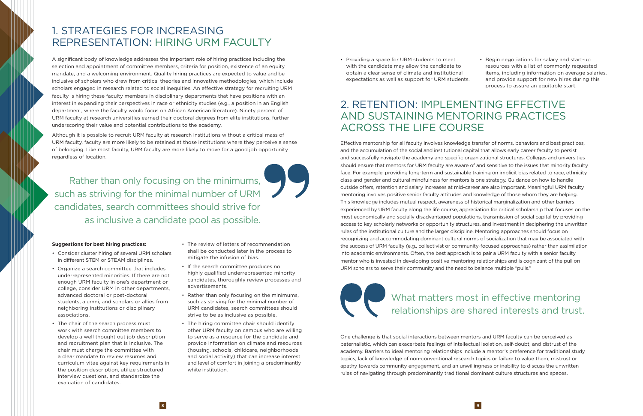Rather than only focusing on the minimums, such as striving for the minimal number of URM candidates, search committees should strive for as inclusive a candidate pool as possible.



A significant body of knowledge addresses the important role of hiring practices including the selection and appointment of committee members, criteria for position, existence of an equity mandate, and a welcoming environment. Quality hiring practices are expected to value and be inclusive of scholars who draw from critical theories and innovative methodologies, which include scholars engaged in research related to social inequities. An effective strategy for recruiting URM faculty is hiring these faculty members in disciplinary departments that have positions with an interest in expanding their perspectives in race or ethnicity studies (e.g., a position in an English department, where the faculty would focus on African American literature). Ninety percent of URM faculty at research universities earned their doctoral degrees from elite institutions, further underscoring their value and potential contributions to the academy.

Although it is possible to recruit URM faculty at research institutions without a critical mass of URM faculty, faculty are more likely to be retained at those institutions where they perceive a sense of belonging. Like most faculty, URM faculty are more likely to move for a good job opportunity regardless of location.

#### **Suggestions for best hiring practices:**

- Consider cluster hiring of several URM scholars in different STEM or STEAM disciplines.
- Organize a search committee that includes underrepresented minorities. If there are not enough URM faculty in one's department or college, consider URM in other departments, advanced doctoral or post-doctoral students, alumni, and scholars or allies from neighboring institutions or disciplinary associations.
- The chair of the search process must work with search committee members to develop a well thought out job description and recruitment plan that is inclusive. The chair must charge the committee with a clear mandate to review resumes and curriculum vitae against key requirements in the position description, utilize structured interview questions, and standardize the evaluation of candidates.
- The review of letters of recommendation shall be conducted later in the process to mitigate the infusion of bias.
- If the search committee produces no highly qualified underrepresented minority candidates, thoroughly review processes and advertisements.
- Rather than only focusing on the minimums, such as striving for the minimal number of URM candidates, search committees should strive to be as inclusive as possible.
- The hiring committee chair should identify other URM faculty on campus who are willing to serve as a resource for the candidate and provide information on climate and resources (housing, schools, childcare, neighborhoods and social activity) that can increase interest and level of comfort in joining a predominantly white institution.

# 1. STRATEGIES FOR INCREASING REPRESENTATION: HIRING URM FACULTY

• Providing a space for URM students to meet with the candidate may allow the candidate to obtain a clear sense of climate and institutional expectations as well as support for URM students. • Begin negotiations for salary and start-up resources with a list of commonly requested items, including information on average salaries, and provide support for new hires during this process to assure an equitable start.

Effective mentorship for all faculty involves knowledge transfer of norms, behaviors and best practices, and the accumulation of the social and institutional capital that allows early career faculty to persist and successfully navigate the academy and specific organizational structures. Colleges and universities should ensure that mentors for URM faculty are aware of and sensitive to the issues that minority faculty face. For example, providing long-term and sustainable training on implicit bias related to race, ethnicity, class and gender and cultural mindfulness for mentors is one strategy. Guidance on how to handle outside offers, retention and salary increases at mid-career are also important. Meaningful URM faculty mentoring involves positive senior faculty attitudes and knowledge of those whom they are helping. This knowledge includes mutual respect, awareness of historical marginalization and other barriers experienced by URM faculty along the life course, appreciation for critical scholarship that focuses on the most economically and socially disadvantaged populations, transmission of social capital by providing access to key scholarly networks or opportunity structures, and investment in deciphering the unwritten rules of the institutional culture and the larger discipline. Mentoring approaches should focus on recognizing and accommodating dominant cultural norms of socialization that may be associated with the success of URM faculty (e.g., collectivist or community-focused approaches) rather than assimilation into academic environments. Often, the best approach is to pair a URM faculty with a senior faculty mentor who is invested in developing positive mentoring relationships and is cognizant of the pull on URM scholars to serve their community and the need to balance multiple "pulls."

One challenge is that social interactions between mentors and URM faculty can be perceived as paternalistic, which can exacerbate feelings of intellectual isolation, self-doubt, and distrust of the academy. Barriers to ideal mentoring relationships include a mentor's preference for traditional study topics, lack of knowledge of non-conventional research topics or failure to value them, mistrust or apathy towards community engagement, and an unwillingness or inability to discuss the unwritten rules of navigating through predominantly traditional dominant culture structures and spaces.

# 2. RETENTION: IMPLEMENTING EFFECTIVE AND SUSTAINING MENTORING PRACTICES ACROSS THE LIFE COURSE

# What matters most in effective mentoring relationships are shared interests and trust.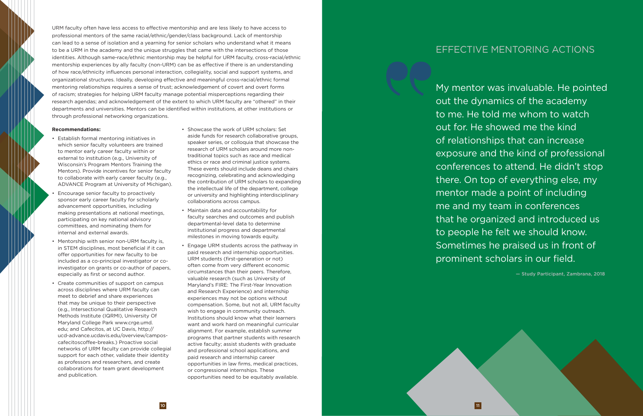URM faculty often have less access to effective mentorship and are less likely to have access to professional mentors of the same racial/ethnic/gender/class background. Lack of mentorship can lead to a sense of isolation and a yearning for senior scholars who understand what it means to be a URM in the academy and the unique struggles that came with the intersections of those identities. Although same-race/ethnic mentorship may be helpful for URM faculty, cross-racial/ethnic mentorship experiences by ally faculty (non-URM) can be as effective if there is an understanding of how race/ethnicity influences personal interaction, collegiality, social and support systems, and organizational structures. Ideally, developing effective and meaningful cross-racial/ethnic formal mentoring relationships requires a sense of trust; acknowledgement of covert and overt forms of racism; strategies for helping URM faculty manage potential misperceptions regarding their research agendas; and acknowledgement of the extent to which URM faculty are "othered" in their departments and universities. Mentors can be identified within institutions, at other institutions or through professional networking organizations.

#### **Recommendations:**

- Establish formal mentoring initiatives in which senior faculty volunteers are trained to mentor early career faculty within or external to institution (e.g., University of Wisconsin's Program Mentors Training the Mentors). Provide incentives for senior faculty to collaborate with early career faculty (e.g., ADVANCE Program at University of Michigan).
- Encourage senior faculty to proactively sponsor early career faculty for scholarly advancement opportunities, including making presentations at national meetings, participating on key national advisory committees, and nominating them for internal and external awards.
- Mentorship with senior non-URM faculty is, in STEM disciplines, most beneficial if it can offer opportunities for new faculty to be included as a co-principal investigator or coinvestigator on grants or co-author of papers, especially as first or second author.
- Create communities of support on campus across disciplines where URM faculty can meet to debrief and share experiences that may be unique to their perspective (e.g., Intersectional Qualitative Research Methods Institute (IQRMI), University Of Maryland College Park www.crge.umd. edu; and Cafecitos, at UC Davis, http:// ucd-advance.ucdavis.edu/overview/camposcafecitoscoffee-breaks.) Proactive social networks of URM faculty can provide collegial support for each other, validate their identity as professors and researchers, and create collaborations for team grant development and publication.
- Showcase the work of URM scholars: Set aside funds for research collaborative groups, speaker series, or colloquia that showcase the research of URM scholars around more nontraditional topics such as race and medical ethics or race and criminal justice systems. These events should include deans and chairs recognizing, celebrating and acknowledging the contribution of URM scholars to expanding the intellectual life of the department, college or university and highlighting interdisciplinary collaborations across campus.
- Maintain data and accountability for faculty searches and outcomes and publish departmental-level data to determine institutional progress and departmental milestones in moving towards equity.
- Engage URM students across the pathway in paid research and internship opportunities. URM students (first-generation or not) often come from very different economic circumstances than their peers. Therefore, valuable research (such as University of Maryland's FIRE: The First-Year Innovation and Research Experience) and internship experiences may not be options without compensation. Some, but not all, URM faculty wish to engage in community outreach. Institutions should know what their learners want and work hard on meaningful curricular alignment. For example, establish summer programs that partner students with research active faculty; assist students with graduate and professional school applications, and paid research and internship career opportunities in law firms, medical practices, or congressional internships. These opportunities need to be equitably available.

My mentor was invaluable. He pointed out the dynamics of the academy to me. He told me whom to watch out for. He showed me the kind of relationships that can increase exposure and the kind of professional conferences to attend. He didn't stop there. On top of everything else, my mentor made a point of including me and my team in conferences that he organized and introduced us to people he felt we should know. Sometimes he praised us in front of prominent scholars in our field.

— Study Participant, Zambrana, 2018

# EFFECTIVE MENTORING ACTIONS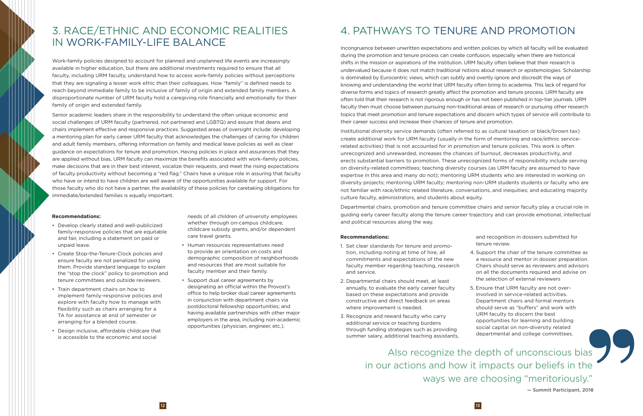Work-family policies designed to account for planned and unplanned life events are increasingly available in higher education, but there are additional investments required to ensure that all faculty, including URM faculty, understand how to access work-family policies without perceptions that they are signaling a lesser work ethic than their colleagues. How "family" is defined needs to reach beyond immediate family to be inclusive of family of origin and extended family members. A disproportionate number of URM faculty hold a caregiving role financially and emotionally for their family of origin and extended family.

Senior academic leaders share in the responsibility to understand the often unique economic and social challenges of URM faculty (partnered, not partnered and LGBTQ) and assure that deans and chairs implement effective and responsive practices. Suggested areas of oversight include: developing a mentoring plan for early career URM faculty that acknowledges the challenges of caring for children and adult family members, offering information on family and medical leave policies as well as clear guidance on expectations for tenure and promotion. Having policies in place and assurances that they are applied without bias, URM faculty can maximize the benefits associated with work–family policies, make decisions that are in their best interest, vocalize their requests, and meet the rising expectations of faculty productivity without becoming a "red flag." Chairs have a unique role in assuring that faculty who have or intend to have children are well aware of the opportunities available for support. For those faculty who do not have a partner, the availability of these policies for caretaking obligations for immediate/extended families is equally important.

Incongruence between unwritten expectations and written policies by which all faculty will be evaluated during the promotion and tenure process can create confusion, especially when there are historical shifts in the mission or aspirations of the institution. URM faculty often believe that their research is undervalued because it does not match traditional notions about research or epistemologies. Scholarship is dominated by Eurocentric views, which can subtly and overtly ignore and discredit the ways of knowing and understanding the world that URM faculty often bring to academia. This lack of regard for diverse forms and topics of research greatly affect the promotion and tenure process. URM faculty are often told that their research is not rigorous enough or has not been published in top-tier journals. URM faculty then must choose between pursuing non-traditional areas of research or pursuing other research topics that meet promotion and tenure expectations and discern which types of service will contribute to their career success and increase their chances of tenure and promotion.

Institutional diversity service demands (often referred to as cultural taxation or black/brown tax) create additional work for URM faculty (usually in the form of mentoring and race/ethnic servicerelated activities) that is not accounted for in promotion and tenure policies. This work is often unrecognized and unrewarded, increases the chances of burnout, decreases productivity, and erects substantial barriers to promotion. These unrecognized forms of responsibility include serving on diversity-related committees; teaching diversity courses (as URM faculty are assumed to have expertise in this area and many do not); mentoring URM students who are interested in working on diversity projects; mentoring URM faculty; mentoring non-URM students students or faculty who are not familiar with race/ethnic related literature, conversations, and inequities; and educating majority culture faculty, administrators, and students about equity.

Also recognize the depth of unconscious bias in our actions and how it impacts our beliefs in the ways we are choosing "meritoriously."

 $12$ 

Departmental chairs, promotion and tenure committee chairs and senior faculty play a crucial role in guiding early career faculty along the tenure career trajectory and can provide emotional, intellectual and political resources along the way.

#### **Recommendations:**

- Develop clearly stated and well-publicized family-responsive policies that are equitable and fair, including a statement on paid or unpaid leave.
- Create Stop-the-Tenure-Clock policies and ensure faculty are not penalized for using them. Provide standard language to explain the "stop the clock" policy to promotion and tenure committees and outside reviewers.
- Train department chairs on how to implement family-responsive policies and explore with faculty how to manage with flexibility such as chairs arranging for a TA for assistance at end of semester or arranging for a blended course.
- Design inclusive, affordable childcare that is accessible to the economic and social

needs of all children of university employees whether through on-campus childcare, childcare subsidy grants, and/or dependent care travel grants.

- Human resources representatives need to provide an orientation on costs and demographic composition of neighborhoods and resources that are most suitable for faculty member and their family.
- Support dual career agreements by designating an official within the Provost's office to help broker dual career agreements in conjunction with department chairs via postdoctoral fellowship opportunities; and having available partnerships with other major employers in the area, including non-academic opportunities (physician, engineer, etc.).

#### **Recommendations:**

- 1. Set clear standards for tenure and promotion, including noting at time of hire, all commitments and expectations of the new faculty member regarding teaching, research and service.
- 2. Departmental chairs should meet, at least annually, to evaluate the early career faculty based on these expectations and provide constructive and direct feedback on areas where improvement is needed.
- 3. Recognize and reward faculty who carry additional service or teaching burdens through funding strategies such as providing summer salary, additional teaching assistants,

and recognition in dossiers submitted for tenure review.

- 4. Support the chair of the tenure committee as a resource and mentor in dossier preparation. Chairs should serve as reviewers and advisors on all the documents required and advise on the selection of external reviewers
- 5. Ensure that URM faculty are not overinvolved in service-related activities. Department chairs and formal mentors should serve as "buffers" and work with URM faculty to discern the best opportunities for learning and building social capital on non-diversity related departmental and college committees.

# 3. RACE/ETHNIC AND ECONOMIC REALITIES IN WORK-FAMILY-LIFE BALANCE

# 4. PATHWAYS TO TENURE AND PROMOTION

— Summit Participant, 2018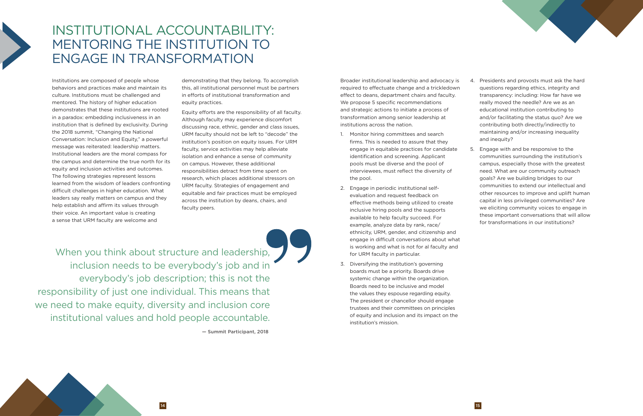When you think about structure and leadership, inclusion needs to be everybody's job and in everybody's job description; this is not the responsibility of just one individual. This means that we need to make equity, diversity and inclusion core institutional values and hold people accountable.

— Summit Participant, 2018

Institutions are composed of people whose behaviors and practices make and maintain its culture. Institutions must be challenged and mentored. The history of higher education demonstrates that these institutions are rooted in a paradox: embedding inclusiveness in an institution that is defined by exclusivity. During the 2018 summit, "Changing the National Conversation: Inclusion and Equity," a powerful message was reiterated: leadership matters. Institutional leaders are the moral compass for the campus and determine the true north for its equity and inclusion activities and outcomes. The following strategies represent lessons learned from the wisdom of leaders confronting difficult challenges in higher education. What leaders say really matters on campus and they help establish and affirm its values through their voice. An important value is creating a sense that URM faculty are welcome and

demonstrating that they belong. To accomplish this, all institutional personnel must be partners in efforts of institutional transformation and equity practices.

Equity efforts are the responsibility of all faculty. Although faculty may experience discomfort discussing race, ethnic, gender and class issues, URM faculty should not be left to "decode" the institution's position on equity issues. For URM faculty, service activities may help alleviate isolation and enhance a sense of community on campus. However, these additional responsibilities detract from time spent on research, which places additional stressors on URM faculty. Strategies of engagement and equitable and fair practices must be employed across the institution by deans, chairs, and faculty peers.

# <span id="page-9-0"></span>INSTITUTIONAL ACCOUNTABILITY: MENTORING THE INSTITUTION TO ENGAGE IN TRANSFORMATION

Broader institutional leadership and advocacy is required to effectuate change and a trickledown effect to deans, department chairs and faculty. We propose 5 specific recommendations and strategic actions to initiate a process of transformation among senior leadership at institutions across the nation.

- 1. Monitor hiring committees and search firms. This is needed to assure that they engage in equitable practices for candidate identification and screening. Applicant pools must be diverse and the pool of interviewees, must reflect the diversity of the pool.
- 2. Engage in periodic institutional selfevaluation and request feedback on effective methods being utilized to create inclusive hiring pools and the supports available to help faculty succeed. For example, analyze data by rank, race/ ethnicity, URM, gender, and citizenship and engage in difficult conversations about what is working and what is not for al faculty and for URM faculty in particular.
- 3. Diversifying the institution's governing boards must be a priority. Boards drive systemic change within the organization. Boards need to be inclusive and model the values they espouse regarding equity. The president or chancellor should engage trustees and their committees on principles of equity and inclusion and its impact on the institution's mission.
- 4. Presidents and provosts must ask the hard questions regarding ethics, integrity and transparency: including: How far have we really moved the needle? Are we as an educational institution contributing to and/or facilitating the status quo? Are we contributing both directly/indirectly to maintaining and/or increasing inequality and inequity?
- 5. Engage with and be responsive to the communities surrounding the institution's campus, especially those with the greatest need. What are our community outreach goals? Are we building bridges to our communities to extend our intellectual and other resources to improve and uplift human capital in less privileged communities? Are we eliciting community voices to engage in these important conversations that will allow for transformations in our institutions?

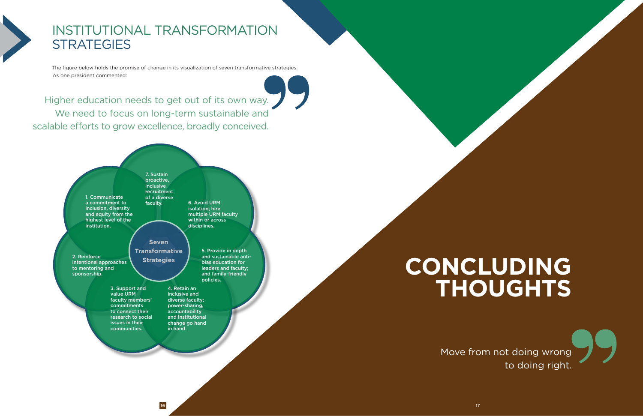# <span id="page-10-0"></span>INSTITUTIONAL TRANSFORMATION **STRATEGIES**

The figure below holds the promise of change in its visualization of seven transformative strategies. As one president commented:

Higher education needs to get out of its own way. We need to focus on long-term sustainable and scalable efforts to grow excellence, broadly conceived.





# **CONCLUDING THOUGHTS**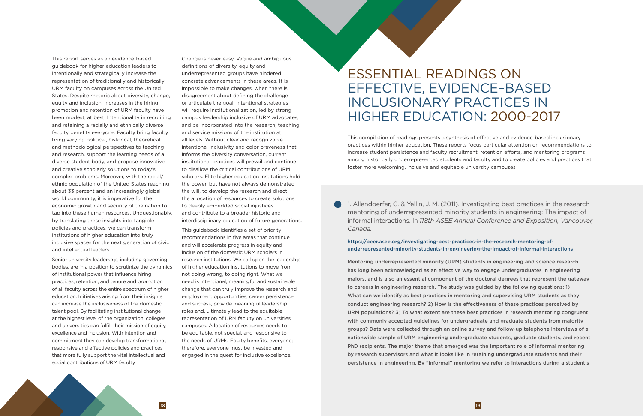<span id="page-11-0"></span>This report serves as an evidence-based guidebook for higher education leaders to intentionally and strategically increase the representation of traditionally and historically URM faculty on campuses across the United States. Despite rhetoric about diversity, change, equity and inclusion, increases in the hiring, promotion and retention of URM faculty have been modest, at best. Intentionality in recruiting and retaining a racially and ethnically diverse faculty benefits everyone. Faculty bring faculty bring varying political, historical, theoretical and methodological perspectives to teaching and research, support the learning needs of a diverse student body, and propose innovative and creative scholarly solutions to today's complex problems. Moreover, with the racial/ ethnic population of the United States reaching about 33 percent and an increasingly global world community, it is imperative for the economic growth and security of the nation to tap into these human resources. Unquestionably, by translating these insights into tangible policies and practices, we can transform institutions of higher education into truly inclusive spaces for the next generation of civic and intellectual leaders.

Senior university leadership, including governing bodies, are in a position to scrutinize the dynamics of institutional power that influence hiring practices, retention, and tenure and promotion of all faculty across the entire spectrum of higher education. Initiatives arising from their insights can increase the inclusiveness of the domestic talent pool. By facilitating institutional change at the highest level of the organization, colleges and universities can fulfill their mission of equity, excellence and inclusion. With intention and commitment they can develop transformational, responsive and effective policies and practices that more fully support the vital intellectual and social contributions of URM faculty.

Change is never easy. Vague and ambiguous definitions of diversity, equity and underrepresented groups have hindered concrete advancements in these areas. It is impossible to make changes, when there is disagreement about defining the challenge or articulate the goal. Intentional strategies will require institutionalization, led by strong campus leadership inclusive of URM advocates, and be incorporated into the research, teaching, and service missions of the institution at all levels. Without clear and recognizable intentional inclusivity and color braveness that informs the diversity conversation, current institutional practices will prevail and continue to disallow the critical contributions of URM scholars. Elite higher education institutions hold the power, but have not always demonstrated the will, to develop the research and direct the allocation of resources to create solutions to deeply embedded social injustices and contribute to a broader historic and interdisciplinary education of future generations.

This guidebook identifies a set of priority recommendations in five areas that continue and will accelerate progress in equity and inclusion of the domestic URM scholars in research institutions. We call upon the leadership of higher education institutions to move from not doing wrong, to doing right. What we need is intentional, meaningful and sustainable change that can truly improve the research and employment opportunities, career persistence and success, provide meaningful leadership roles and, ultimately lead to the equitable representation of URM faculty on universities campuses. Allocation of resources needs to be equitable, not special, and responsive to the needs of URMs. Equity benefits, everyone; therefore, everyone must be invested and engaged in the quest for inclusive excellence.

# ESSENTIAL READINGS ON EFFECTIVE, EVIDENCE–BASED INCLUSIONARY PRACTICES IN HIGHER EDUCATION: 2000-2017

1. Allendoerfer, C. & Yellin, J. M. (2011). Investigating best practices in the research mentoring of underrepresented minority students in engineering: The impact of informal interactions. In *118th ASEE Annual Conference and Exposition, Vancouver, Canada.*

#### https://peer.asee.org/investigating-best-practices-in-the-research-mentoring-ofunderrepresented-minority-students-in-engineering-the-impact-of-informal-interactions

Mentoring underrepresented minority (URM) students in engineering and science research has long been acknowledged as an effective way to engage undergraduates in engineering majors, and is also an essential component of the doctoral degrees that represent the gateway to careers in engineering research. The study was guided by the following questions: 1) What can we identify as best practices in mentoring and supervising URM students as they conduct engineering research? 2) How is the effectiveness of these practices perceived by URM populations? 3) To what extent are these best practices in research mentoring congruent with commonly accepted guidelines for undergraduate and graduate students from majority groups? Data were collected through an online survey and follow-up telephone interviews of a nationwide sample of URM engineering undergraduate students, graduate students, and recent PhD recipients. The major theme that emerged was the important role of informal mentoring by research supervisors and what it looks like in retaining undergraduate students and their persistence in engineering. By "informal" mentoring we refer to interactions during a student's

This compilation of readings presents a synthesis of effective and evidence-based inclusionary practices within higher education. These reports focus particular attention on recommendations to increase student persistence and faculty recruitment, retention efforts, and mentoring programs among historically underrepresented students and faculty and to create policies and practices that foster more welcoming, inclusive and equitable university campuses

18 19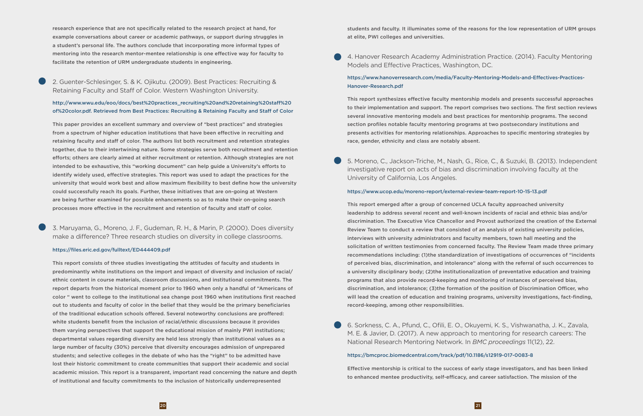research experience that are not specifically related to the research project at hand, for example conversations about career or academic pathways, or support during struggles in a student's personal life. The authors conclude that incorporating more informal types of mentoring into the research mentor-mentee relationship is one effective way for faculty to facilitate the retention of URM undergraduate students in engineering.

2. Guenter-Schlesinger, S. & K. Ojikutu. (2009). Best Practices: Recruiting & Retaining Faculty and Staff of Color. Western Washington University.

#### http://www.wwu.edu/eoo/docs/best%20practices\_recruiting%20and%20retaining%20staff%20 of%20color.pdf. Retrieved from Best Practices: Recruiting & Retaining Faculty and Staff of Color

This paper provides an excellent summary and overview of "best practices" and strategies from a spectrum of higher education institutions that have been effective in recruiting and retaining faculty and staff of color. The authors list both recruitment and retention strategies together, due to their intertwining nature. Some strategies serve both recruitment and retention efforts; others are clearly aimed at either recruitment or retention. Although strategies are not intended to be exhaustive, this "working document" can help guide a University's efforts to identify widely used, effective strategies. This report was used to adapt the practices for the university that would work best and allow maximum flexibility to best define how the university could successfully reach its goals. Further, these initiatives that are on-going at Western are being further examined for possible enhancements so as to make their on-going search processes more effective in the recruitment and retention of faculty and staff of color.

3. Maruyama, G., Moreno, J. F., Gudeman, R. H., & Marin, P. (2000). Does diversity make a difference? Three research studies on diversity in college classrooms.

#### https://files.eric.ed.gov/fulltext/ED444409.pdf

This report consists of three studies investigating the attitudes of faculty and students in predominantly white institutions on the import and impact of diversity and inclusion of racial/ ethnic content in course materials, classroom discussions, and institutional commitments. The report departs from the historical moment prior to 1960 when only a handful of "Americans of color " went to college to the institutional sea change post 1960 when institutions first reached out to students and faculty of color in the belief that they would be the primary beneficiaries of the traditional education schools offered. Several noteworthy conclusions are proffered: white students benefit from the inclusion of racial/ethnic discussions because it provides them varying perspectives that support the educational mission of mainly PWI institutions; departmental values regarding diversity are held less strongly than institutional values as a large number of faculty (30%) perceive that diversity encourages admission of unprepared students; and selective colleges in the debate of who has the "right" to be admitted have lost their historic commitment to create communities that support their academic and social academic mission. This report is a transparent, important read concerning the nature and depth of institutional and faculty commitments to the inclusion of historically underrepresented

students and faculty. It illuminates some of the reasons for the low representation of URM groups at elite, PWI colleges and universities.

4. Hanover Research Academy Administration Practice. (2014). Faculty Mentoring

Models and Effective Practices, Washington, DC.

https://www.hanoverresearch.com/media/Faculty-Mentoring-Models-and-Effectives-Practices-

# Hanover-Research.pdf

This report synthesizes effective faculty mentorship models and presents successful approaches to their implementation and support. The report comprises two sections. The first section reviews several innovative mentoring models and best practices for mentorship programs. The second section profiles notable faculty mentoring programs at two postsecondary institutions and presents activities for mentoring relationships. Approaches to specific mentoring strategies by race, gender, ethnicity and class are notably absent.

5. Moreno, C., Jackson-Triche, M., Nash, G., Rice, C., & Suzuki, B. (2013). Independent investigative report on acts of bias and discrimination involving faculty at the University of California, Los Angeles.

#### https://www.ucop.edu/moreno-report/external-review-team-report-10-15-13.pdf

This report emerged after a group of concerned UCLA faculty approached university leadership to address several recent and well-known incidents of racial and ethnic bias and/or discrimination. The Executive Vice Chancellor and Provost authorized the creation of the External Review Team to conduct a review that consisted of an analysis of existing university policies, interviews with university administrators and faculty members, town hall meeting and the solicitation of written testimonies from concerned faculty. The Review Team made three primary recommendations including: (1)the standardization of investigations of occurrences of "incidents of perceived bias, discrimination, and intolerance" along with the referral of such occurrences to a university disciplinary body; (2)the institutionalization of preventative education and training programs that also provide record-keeping and monitoring of instances of perceived bias, discrimination, and intolerance; (3)the formation of the position of Discrimination Officer, who will lead the creation of education and training programs, university investigations, fact-finding, record-keeping, among other responsibilities.

6. Sorkness, C. A., Pfund, C., Ofili, E. O., Okuyemi, K. S., Vishwanatha, J. K., Zavala, M. E. & Javier, D. (2017). A new approach to mentoring for research careers: The National Research Mentoring Network. In *BMC proceedings* 11(12), 22.

#### https://bmcproc.biomedcentral.com/track/pdf/10.1186/s12919-017-0083-8

Effective mentorship is critical to the success of early stage investigators, and has been linked to enhanced mentee productivity, self-efficacy, and career satisfaction. The mission of the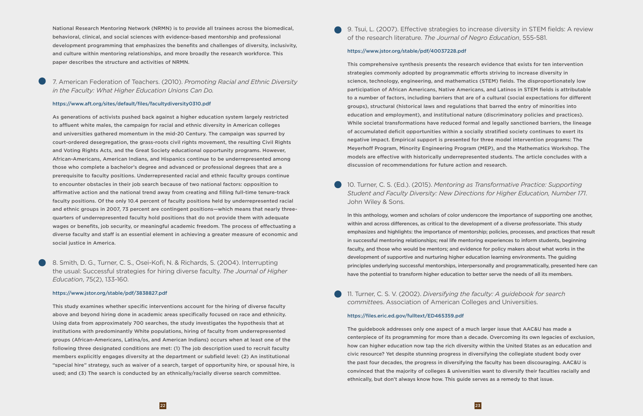National Research Mentoring Network (NRMN) is to provide all trainees across the biomedical, behavioral, clinical, and social sciences with evidence-based mentorship and professional development programming that emphasizes the benefits and challenges of diversity, inclusivity, and culture within mentoring relationships, and more broadly the research workforce. This paper describes the structure and activities of NRMN.

## 7. American Federation of Teachers. (2010). *Promoting Racial and Ethnic Diversity in the Faculty: What Higher Education Unions Can Do.*

#### https://www.aft.org/sites/default/files/facultydiversity0310.pdf

As generations of activists pushed back against a higher education system largely restricted to affluent white males, the campaign for racial and ethnic diversity in American colleges and universities gathered momentum in the mid-20 Century. The campaign was spurred by court-ordered desegregation, the grass-roots civil rights movement, the resulting Civil Rights and Voting Rights Acts, and the Great Society educational opportunity programs. However, African-Americans, American Indians, and Hispanics continue to be underrepresented among those who complete a bachelor's degree and advanced or professional degrees that are a prerequisite to faculty positions. Underrepresented racial and ethnic faculty groups continue to encounter obstacles in their job search because of two national factors: opposition to affirmative action and the national trend away from creating and filling full-time tenure-track faculty positions. Of the only 10.4 percent of faculty positions held by underrepresented racial and ethnic groups in 2007, 73 percent are contingent positions—which means that nearly threequarters of underrepresented faculty hold positions that do not provide them with adequate wages or benefits, job security, or meaningful academic freedom. The process of effectuating a diverse faculty and staff is an essential element in achieving a greater measure of economic and social justice in America.

8. Smith, D. G., Turner, C. S., Osei-Kofi, N. & Richards, S. (2004). Interrupting the usual: Successful strategies for hiring diverse faculty. *The Journal of Higher Education*, 75(2), 133-160.

#### https://www.jstor.org/stable/pdf/3838827.pdf

This study examines whether specific interventions account for the hiring of diverse faculty above and beyond hiring done in academic areas specifically focused on race and ethnicity. Using data from approximately 700 searches, the study investigates the hypothesis that at institutions with predominantly White populations, hiring of faculty from underrepresented groups (African-Americans, Latina/os, and American Indians) occurs when at least one of the following three designated conditions are met: (1) The job description used to recruit faculty members explicitly engages diversity at the department or subfield level: (2) An institutional "special hire" strategy, such as waiver of a search, target of opportunity hire, or spousal hire, is used; and (3) The search is conducted by an ethnically/racially diverse search committee.

9. Tsui, L. (2007). Effective strategies to increase diversity in STEM fields: A review of the research literature. *The Journal of Negro Education*, 555-581.

#### https://www.jstor.org/stable/pdf/40037228.pdf

This comprehensive synthesis presents the research evidence that exists for ten intervention strategies commonly adopted by programmatic efforts striving to increase diversity in science, technology, engineering, and mathematics (STEM) fields. The disproportionately low participation of African Americans, Native Americans, and Latinos in STEM fields is attributable to a number of factors, including barriers that are of a cultural (social expectations for different groups), structural (historical laws and regulations that barred the entry of minorities into education and employment), and institutional nature (discriminatory policies and practices). While societal transformations have reduced formal and legally sanctioned barriers, the lineage of accumulated deficit opportunities within a socially stratified society continues to exert its negative impact. Empirical support is presented for three model intervention programs: The Meyerhoff Program, Minority Engineering Program (MEP), and the Mathematics Workshop. The models are effective with historically underrepresented students. The article concludes with a discussion of recommendations for future action and research.

10. Turner, C. S. (Ed.). (2015). *Mentoring as Transformative Practice: Supporting Student and Faculty Diversity: New Directions for Higher Education, Number 171*. John Wiley & Sons.

In this anthology, women and scholars of color underscore the importance of supporting one another, within and across differences, as critical to the development of a diverse professoriate. This study emphasizes and highlights: the importance of mentorship; policies, processes, and practices that result in successful mentoring relationships; real life mentoring experiences to inform students, beginning faculty, and those who would be mentors; and evidence for policy makers about what works in the development of supportive and nurturing higher education learning environments. The guiding principles underlying successful mentorships, interpersonally and programmatically, presented here can have the potential to transform higher education to better serve the needs of all its members.

### 11. Turner, C. S. V. (2002). *Diversifying the faculty: A guidebook for search committee*s. Association of American Colleges and Universities.

#### https://files.eric.ed.gov/fulltext/ED465359.pdf

The guidebook addresses only one aspect of a much larger issue that AAC&U has made a centerpiece of its programming for more than a decade. Overcoming its own legacies of exclusion, how can higher education now tap the rich diversity within the United States as an education and civic resource? Yet despite stunning progress in diversifying the collegiate student body over the past four decades, the progress in diversifying the faculty has been discouraging. AAC&U is convinced that the majority of colleges & universities want to diversify their faculties racially and ethnically, but don't always know how. This guide serves as a remedy to that issue.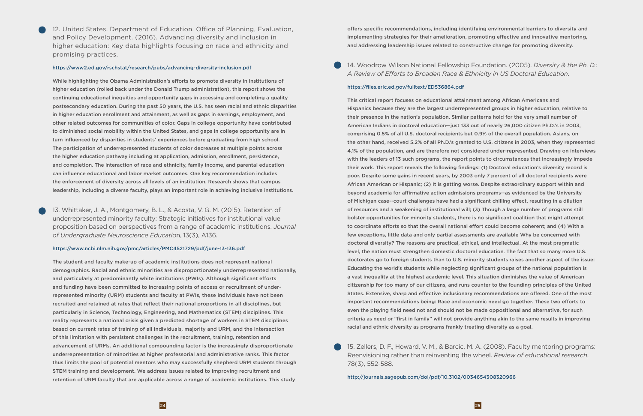12. United States. Department of Education. Office of Planning, Evaluation, and Policy Development. (2016). Advancing diversity and inclusion in higher education: Key data highlights focusing on race and ethnicity and promising practices.

#### https://www2.ed.gov/rschstat/research/pubs/advancing-diversity-inclusion.pdf

While highlighting the Obama Administration's efforts to promote diversity in institutions of higher education (rolled back under the Donald Trump administration), this report shows the continuing educational inequities and opportunity gaps in accessing and completing a quality postsecondary education. During the past 50 years, the U.S. has seen racial and ethnic disparities in higher education enrollment and attainment, as well as gaps in earnings, employment, and other related outcomes for communities of color. Gaps in college opportunity have contributed to diminished social mobility within the United States, and gaps in college opportunity are in turn influenced by disparities in students' experiences before graduating from high school. The participation of underrepresented students of color decreases at multiple points across the higher education pathway including at application, admission, enrollment, persistence, and completion. The interaction of race and ethnicity, family income, and parental education can influence educational and labor market outcomes. One key recommendation includes the enforcement of diversity across all levels of an institution. Research shows that campus leadership, including a diverse faculty, plays an important role in achieving inclusive institutions.

13. Whittaker, J. A., Montgomery, B. L., & Acosta, V. G. M. (2015). Retention of underrepresented minority faculty: Strategic initiatives for institutional value proposition based on perspectives from a range of academic institutions. *Journal of Undergraduate Neuroscience Educatio*n, 13(3), A136.

#### https://www.ncbi.nlm.nih.gov/pmc/articles/PMC4521729/pdf/june-13-136.pdf

The student and faculty make-up of academic institutions does not represent national demographics. Racial and ethnic minorities are disproportionately underrepresented nationally, and particularly at predominantly white institutions (PWIs). Although significant efforts and funding have been committed to increasing points of access or recruitment of underrepresented minority (URM) students and faculty at PWIs, these individuals have not been recruited and retained at rates that reflect their national proportions in all disciplines, but particularly in Science, Technology, Engineering, and Mathematics (STEM) disciplines. This reality represents a national crisis given a predicted shortage of workers in STEM disciplines based on current rates of training of all individuals, majority and URM, and the intersection of this limitation with persistent challenges in the recruitment, training, retention and advancement of URMs. An additional compounding factor is the increasingly disproportionate underrepresentation of minorities at higher professorial and administrative ranks. This factor thus limits the pool of potential mentors who may successfully shepherd URM students through STEM training and development. We address issues related to improving recruitment and retention of URM faculty that are applicable across a range of academic institutions. This study

offers specific recommendations, including identifying environmental barriers to diversity and implementing strategies for their amelioration, promoting effective and innovative mentoring, and addressing leadership issues related to constructive change for promoting diversity.

14. Woodrow Wilson National Fellowship Foundation. (2005). *Diversity & the Ph. D.: A Review of Efforts to Broaden Race & Ethnicity in US Doctoral Education*.

#### https://files.eric.ed.gov/fulltext/ED536864.pdf

This critical report focuses on educational attainment among African Americans and Hispanics because they are the largest underrepresented groups in higher education, relative to their presence in the nation's population. Similar patterns hold for the very small number of American Indians in doctoral education—just 133 out of nearly 26,000 citizen Ph.D.'s in 2003, comprising 0.5% of all U.S. doctoral recipients but 0.9% of the overall population. Asians, on the other hand, received 5.2% of all Ph.D.'s granted to U.S. citizens in 2003, when they represented 4.1% of the population, and are therefore not considered under-represented. Drawing on interviews with the leaders of 13 such programs, the report points to circumstances that increasingly impede their work. This report reveals the following findings: (1) Doctoral education's diversity record is poor. Despite some gains in recent years, by 2003 only 7 percent of all doctoral recipients were African American or Hispanic; (2) It is getting worse. Despite extraordinary support within and beyond academia for affirmative action admissions programs--as evidenced by the University of Michigan case--court challenges have had a significant chilling effect, resulting in a dilution of resources and a weakening of institutional will; (3) Though a large number of programs still bolster opportunities for minority students, there is no significant coalition that might attempt to coordinate efforts so that the overall national effort could become coherent; and (4) With a few exceptions, little data and only partial assessments are available Why be concerned with doctoral diversity? The reasons are practical, ethical, and intellectual. At the most pragmatic level, the nation must strengthen domestic doctoral education. The fact that so many more U.S. doctorates go to foreign students than to U.S. minority students raises another aspect of the issue: Educating the world's students while neglecting significant groups of the national population is a vast inequality at the highest academic level. This situation diminishes the value of American citizenship for too many of our citizens, and runs counter to the founding principles of the United States. Extensive, sharp and effective inclusionary recommendations are offered. One of the most important recommendations being: Race and economic need go together. These two efforts to even the playing field need not and should not be made oppositional and alternative, for such criteria as need or "first in family" will not provide anything akin to the same results in improving racial and ethnic diversity as programs frankly treating diversity as a goal.

15. Zellers, D. F., Howard, V. M., & Barcic, M. A. (2008). Faculty mentoring programs: Reenvisioning rather than reinventing the wheel. *Review of educational research*, 78(3), 552-588.

http://journals.sagepub.com/doi/pdf/10.3102/0034654308320966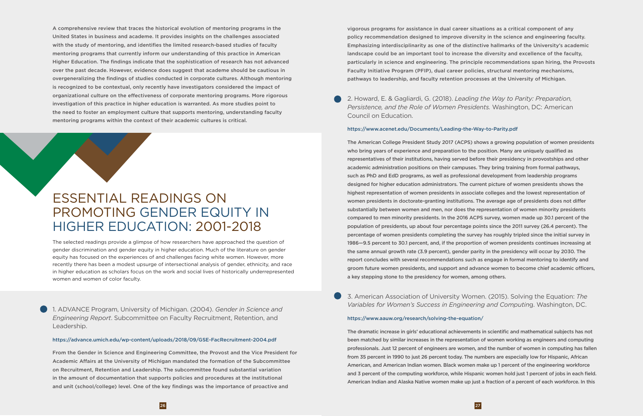<span id="page-15-0"></span>A comprehensive review that traces the historical evolution of mentoring programs in the United States in business and academe. It provides insights on the challenges associated with the study of mentoring, and identifies the limited research-based studies of faculty mentoring programs that currently inform our understanding of this practice in American Higher Education. The findings indicate that the sophistication of research has not advanced over the past decade. However, evidence does suggest that academe should be cautious in overgeneralizing the findings of studies conducted in corporate cultures. Although mentoring is recognized to be contextual, only recently have investigators considered the impact of organizational culture on the effectiveness of corporate mentoring programs. More rigorous investigation of this practice in higher education is warranted. As more studies point to the need to foster an employment culture that supports mentoring, understanding faculty mentoring programs within the context of their academic cultures is critical.

# ESSENTIAL READINGS ON PROMOTING GENDER EQUITY IN HIGHER EDUCATION: 2001-2018

1. ADVANCE Program, University of Michigan. (2004). *Gender in Science and Engineering Report*. Subcommittee on Faculty Recruitment, Retention, and Leadership.

#### https://advance.umich.edu/wp-content/uploads/2018/09/GSE-FacRecruitment-2004.pdf

From the Gender in Science and Engineering Committee, the Provost and the Vice President for Academic Affairs at the University of Michigan mandated the formation of the Subcommittee on Recruitment, Retention and Leadership. The subcommittee found substantial variation in the amount of documentation that supports policies and procedures at the institutional and unit (school/college) level. One of the key findings was the importance of proactive and

The selected readings provide a glimpse of how researchers have approached the question of gender discrimination and gender equity in higher education. Much of the literature on gender equity has focused on the experiences of and challenges facing white women. However, more recently there has been a modest upsurge of intersectional analysis of gender, ethnicity, and race in higher education as scholars focus on the work and social lives of historically underrepresented women and women of color faculty.

vigorous programs for assistance in dual career situations as a critical component of any policy recommendation designed to improve diversity in the science and engineering faculty. Emphasizing interdisciplinarity as one of the distinctive hallmarks of the University's academic landscape could be an important tool to increase the diversity and excellence of the faculty, particularly in science and engineering. The principle recommendations span hiring, the Provosts Faculty Initiative Program (PFIP), dual career policies, structural mentoring mechanisms, pathways to leadership, and faculty retention processes at the University of Michigan.

2. Howard, E. & Gagliardi, G. (2018). *Leading the Way to Parity: Preparation, Persistence, and the Role of Women Presidents.* Washington, DC: American Council on Education.

#### https://www.acenet.edu/Documents/Leading-the-Way-to-Parity.pdf

The American College President Study 2017 (ACPS) shows a growing population of women presidents who bring years of experience and preparation to the position. Many are uniquely qualified as representatives of their institutions, having served before their presidency in provostships and other academic administration positions on their campuses. They bring training from formal pathways, such as PhD and EdD programs, as well as professional development from leadership programs designed for higher education administrators. The current picture of women presidents shows the highest representation of women presidents in associate colleges and the lowest representation of women presidents in doctorate-granting institutions. The average age of presidents does not differ substantially between women and men, nor does the representation of women minority presidents compared to men minority presidents. In the 2016 ACPS survey, women made up 30.1 percent of the population of presidents, up about four percentage points since the 2011 survey (26.4 percent). The percentage of women presidents completing the survey has roughly tripled since the initial survey in 1986—9.5 percent to 30.1 percent, and, if the proportion of women presidents continues increasing at the same annual growth rate (3.9 percent), gender parity in the presidency will occur by 2030. The report concludes with several recommendations such as engage in formal mentoring to identify and groom future women presidents, and support and advance women to become chief academic officers, a key stepping stone to the presidency for women, among others.

3. American Association of University Women. (2015). Solving the Equation: *The Variables for Women's Success in Engineering and Computin*g. Washington, DC.

#### https://www.aauw.org/research/solving-the-equation/

The dramatic increase in girls' educational achievements in scientific and mathematical subjects has not been matched by similar increases in the representation of women working as engineers and computing professionals. Just 12 percent of engineers are women, and the number of women in computing has fallen from 35 percent in 1990 to just 26 percent today. The numbers are especially low for Hispanic, African American, and American Indian women. Black women make up 1 percent of the engineering workforce and 3 percent of the computing workforce, while Hispanic women hold just 1 percent of jobs in each field. American Indian and Alaska Native women make up just a fraction of a percent of each workforce. In this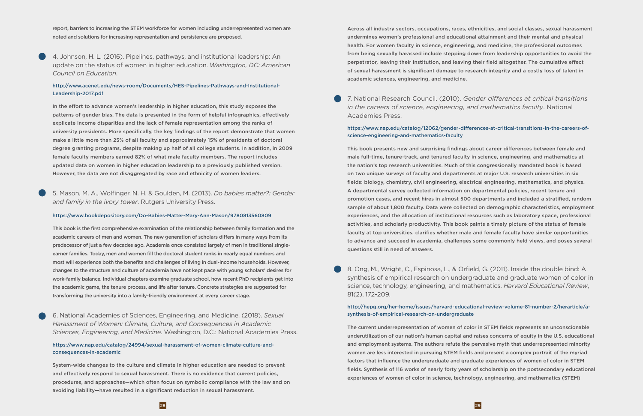report, barriers to increasing the STEM workforce for women including underrepresented women are noted and solutions for increasing representation and persistence are proposed.

4. Johnson, H. L. (2016). Pipelines, pathways, and institutional leadership: An update on the status of women in higher education. *Washington, DC: American Council on Education*.

#### http://www.acenet.edu/news-room/Documents/HES-Pipelines-Pathways-and-Institutional-Leadership-2017.pdf

In the effort to advance women's leadership in higher education, this study exposes the patterns of gender bias. The data is presented in the form of helpful infographics, effectively explicate income disparities and the lack of female representation among the ranks of university presidents. More specifically, the key findings of the report demonstrate that women make a little more than 25% of all faculty and approximately 15% of presidents of doctoral degree granting programs, despite making up half of all college students. In addition, in 2009 female faculty members earned 82% of what male faculty members. The report includes updated data on women in higher education leadership to a previously published version. However, the data are not disaggregated by race and ethnicity of women leaders.

5. Mason, M. A., Wolfinger, N. H. & Goulden, M. (2013). *Do babies matter?: Gender and family in the ivory tower*. Rutgers University Press.

#### https://www.bookdepository.com/Do-Babies-Matter-Mary-Ann-Mason/9780813560809

This book is the first comprehensive examination of the relationship between family formation and the academic careers of men and women. The new generation of scholars differs in many ways from its predecessor of just a few decades ago. Academia once consisted largely of men in traditional singleearner families. Today, men and women fill the doctoral student ranks in nearly equal numbers and most will experience both the benefits and challenges of living in dual-income households. However, changes to the structure and culture of academia have not kept pace with young scholars' desires for work-family balance. Individual chapters examine graduate school, how recent PhD recipients get into the academic game, the tenure process, and life after tenure. Concrete strategies are suggested for transforming the university into a family-friendly environment at every career stage.

6. National Academies of Sciences, Engineering, and Medicine. (2018). *Sexual Harassment of Women: Climate, Culture, and Consequences in Academic Sciences, Engineering, and Medicine*. Washington, D.C.: National Academies Press.

#### https://www.nap.edu/catalog/24994/sexual-harassment-of-women-climate-culture-andconsequences-in-academic

8. Ong, M., Wright, C., Espinosa, L., & Orfield, G. (2011). Inside the double bind: A synthesis of empirical research on undergraduate and graduate women of color in science, technology, engineering, and mathematics. *Harvard Educational Review*, 81(2), 172-209.

System-wide changes to the culture and climate in higher education are needed to prevent and effectively respond to sexual harassment. There is no evidence that current policies, procedures, and approaches—which often focus on symbolic compliance with the law and on avoiding liability—have resulted in a significant reduction in sexual harassment.

Across all industry sectors, occupations, races, ethnicities, and social classes, sexual harassment undermines women's professional and educational attainment and their mental and physical health. For women faculty in science, engineering, and medicine, the professional outcomes from being sexually harassed include stepping down from leadership opportunities to avoid the perpetrator, leaving their institution, and leaving their field altogether. The cumulative effect of sexual harassment is significant damage to research integrity and a costly loss of talent in academic sciences, engineering, and medicine.

7. National Research Council. (2010). *Gender differences at critical transitions in the careers of science, engineering, and mathematics faculty*. National Academies Press.

#### https://www.nap.edu/catalog/12062/gender-differences-at-critical-transitions-in-the-careers-ofscience-engineering-and-mathematics-faculty

This book presents new and surprising findings about career differences between female and male full-time, tenure-track, and tenured faculty in science, engineering, and mathematics at the nation's top research universities. Much of this congressionally mandated book is based on two unique surveys of faculty and departments at major U.S. research universities in six fields: biology, chemistry, civil engineering, electrical engineering, mathematics, and physics. A departmental survey collected information on departmental policies, recent tenure and promotion cases, and recent hires in almost 500 departments and included a stratified, random sample of about 1,800 faculty. Data were collected on demographic characteristics, employment experiences, and the allocation of institutional resources such as laboratory space, professional activities, and scholarly productivity. This book paints a timely picture of the status of female faculty at top universities, clarifies whether male and female faculty have similar opportunities to advance and succeed in academia, challenges some commonly held views, and poses several questions still in need of answers.

#### http://hepg.org/her-home/issues/harvard-educational-review-volume-81-number-2/herarticle/asynthesis-of-empirical-research-on-undergraduate

The current underrepresentation of women of color in STEM fields represents an unconscionable underutilization of our nation's human capital and raises concerns of equity in the U.S. educational and employment systems. The authors refute the pervasive myth that underrepresented minority women are less interested in pursuing STEM fields and present a complex portrait of the myriad factors that influence the undergraduate and graduate experiences of women of color in STEM fields. Synthesis of 116 works of nearly forty years of scholarship on the postsecondary educational experiences of women of color in science, technology, engineering, and mathematics (STEM)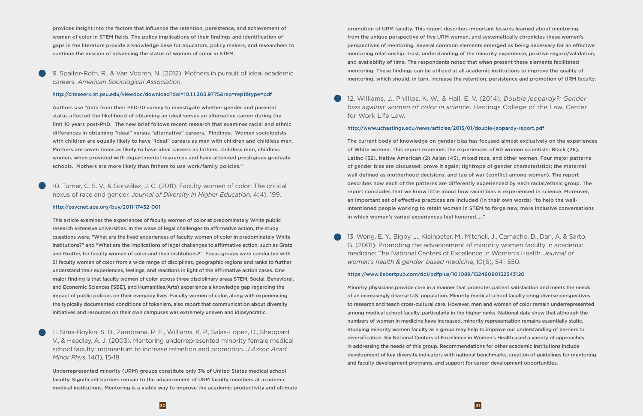provides insight into the factors that influence the retention, persistence, and achievement of women of color in STEM fields. The policy implications of their findings and identification of gaps in the literature provide a knowledge base for educators, policy makers, and researchers to continue the mission of advancing the status of women of color in STEM.

9. Spalter-Roth, R., & Van Vooren, N. (2012). Mothers in pursuit of ideal academic careers. *American Sociological Association*.

#### http://citeseerx.ist.psu.edu/viewdoc/download?doi=10.1.1.303.9775&rep=rep1&type=pdf

Authors use "data from their PhD-10 survey to investigate whether gender and parental status affected the likelihood of obtaining an ideal versus an alternative career during the first 10 years post-PhD. The new brief follows recent research that examines racial and ethnic differences in obtaining "ideal" versus "alternative" careers. Findings: Women sociologists with children are equally likely to have "ideal" careers as men with children and childless men. Mothers are seven times as likely to have ideal careers as fathers, childless men, childless women, when provided with departmental resources and have attended prestigious graduate schools. Mothers are more likely than fathers to use work/family policies."

10. Turner, C. S. V., & González, J. C. (2011). Faculty women of color: The critical nexus of race and gender. *Journal of Diversity in Higher Education*, 4(4), 199.

#### http://psycnet.apa.org/buy/2011-17452-001

This article examines the experiences of faculty women of color at predominately White public research extensive universities. In the wake of legal challenges to affirmative action, the study questions were, "What are the lived experiences of faculty women of color in predominately White institutions?" and "What are the implications of legal challenges to affirmative action, such as Gratz and Grutter, for faculty women of color and their institutions?" Focus groups were conducted with 51 faculty women of color from a wide range of disciplines, geographic regions and ranks to further understand their experiences, feelings, and reactions in light of the affirmative action cases. One major finding is that faculty women of color across three disciplinary areas STEM, Social, Behavioral, and Economic Sciences [SBE], and Humanities/Arts) experience a knowledge gap regarding the impact of public policies on their everyday lives. Faculty women of color, along with experiencing the typically documented conditions of tokenism, also report that communication about diversity initiatives and resources on their own campuses was extremely uneven and idiosyncratic.

11. Sims-Boykin, S. D., Zambrana, R. E., Williams, K. P., Salas-Lopez, D., Sheppard, V., & Headley, A. J. (2003). Mentoring underrepresented minority female medical school faculty: momentum to increase retention and promotion. *J Assoc Acad Minor Phys*, 14(1), 15-18.

Underrepresented minority (URM) groups constitute only 3% of United States medical school faculty. Significant barriers remain to the advancement of URM faculty members at academic medical institutions. Mentoring is a viable way to improve the academic productivity and ultimate promotion of URM faculty. This report describes important lessons learned about mentoring from the unique perspective of five URM women, and systematically chronicles these women's perspectives of mentoring. Several common elements emerged as being necessary for an effective mentoring relationship: trust, understanding of the minority experience, positive regard/validation, and availability of time. The respondents noted that when present these elements facilitated mentoring. These findings can be utilized at all academic institutions to improve the quality of mentoring, which should, in turn, increase the retention, persistence and promotion of URM faculty.

12. Williams, J., Phillips, K. W., & Hall, E. V. (2014). *Double jeopardy?: Gender bias against women of color in science*. Hastings College of the Law, Center for Work Life Law.

#### http://www.uchastings.edu/news/articles/2015/01/double-jeopardy-report.pdf

The current body of knowledge on gender bias has focused almost exclusively on the experiences of White women. This report examines the experiences of 60 women scientists: Black (26), Latino (32), Native American (2) Asian (45), mixed race, and other women. Four major patterns of gender bias are discussed: prove it again; tightrope of gender characteristics; the maternal wall defined as motherhood decisions; and tug of war (conflict among women). The report describes how each of the patterns are differently experienced by each racial/ethnic group. The report concludes that we know little about how racial bias is experienced in science. Moreover, an important set of effective practices are included (in their own words) "to help the wellintentioned people working to retain women in STEM to forge new, more inclusive conversations in which women's varied experiences feel honored.....".

13. Wong, E. Y., Bigby, J., Kleinpeter, M., Mitchell, J., Camacho, D., Dan, A. & Sarto, G. (2001). Promoting the advancement of minority women faculty in academic medicine: The National Centers of Excellence in Women's Health. *Journal of women's health & gender-based medicin*e, 10(6), 541-550.

#### https://www.liebertpub.com/doi/pdfplus/10.1089/15246090152543120

Minority physicians provide care in a manner that promotes patient satisfaction and meets the needs of an increasingly diverse U.S. population. Minority medical school faculty bring diverse perspectives to research and teach cross-cultural care. However, men and women of color remain underrepresented among medical school faculty, particularly in the higher ranks. National data show that although the numbers of women in medicine have increased, minority representation remains essentially static. Studying minority women faculty as a group may help to improve our understanding of barriers to diversification. Six National Centers of Excellence in Women's Health used a variety of approaches in addressing the needs of this group. Recommendations for other academic institutions include development of key diversity indicators with national benchmarks, creation of guidelines for mentoring and faculty development programs, and support for career development opportunities.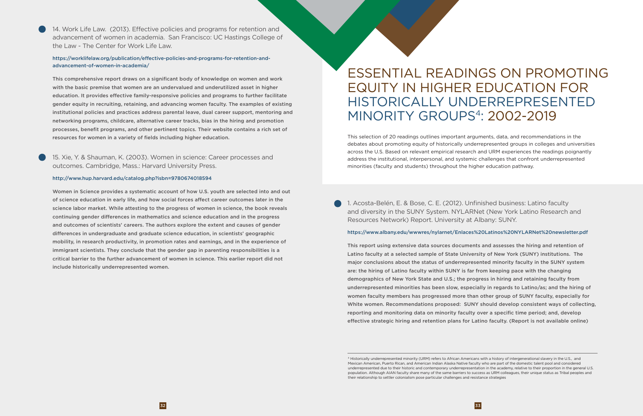<span id="page-18-0"></span>14. Work Life Law. (2013). Effective policies and programs for retention and advancement of women in academia. San Francisco: UC Hastings College of the Law - The Center for Work Life Law.

#### https://worklifelaw.org/publication/effective-policies-and-programs-for-retention-andadvancement-of-women-in-academia/

This comprehensive report draws on a significant body of knowledge on women and work with the basic premise that women are an undervalued and underutilized asset in higher education. It provides effective family-responsive policies and programs to further facilitate gender equity in recruiting, retaining, and advancing women faculty. The examples of existing institutional policies and practices address parental leave, dual career support, mentoring and networking programs, childcare, alternative career tracks, bias in the hiring and promotion processes, benefit programs, and other pertinent topics. Their website contains a rich set of resources for women in a variety of fields including higher education.

### 15. Xie, Y. & Shauman, K. (2003). Women in science: Career processes and outcomes. Cambridge, Mass.: Harvard University Press.

#### http://www.hup.harvard.edu/catalog.php?isbn=9780674018594

Women in Science provides a systematic account of how U.S. youth are selected into and out of science education in early life, and how social forces affect career outcomes later in the science labor market. While attesting to the progress of women in science, the book reveals continuing gender differences in mathematics and science education and in the progress and outcomes of scientists' careers. The authors explore the extent and causes of gender differences in undergraduate and graduate science education, in scientists' geographic mobility, in research productivity, in promotion rates and earnings, and in the experience of immigrant scientists. They conclude that the gender gap in parenting responsibilities is a critical barrier to the further advancement of women in science. This earlier report did not include historically underrepresented women.

1. Acosta-Belén, E. & Bose, C. E. (2012). Unfinished business: Latino faculty and diversity in the SUNY System. NYLARNet (New York Latino Research and Resources Network) Report. University at Albany: SUNY.

#### https://www.albany.edu/wwwres/nylarnet/Enlaces%20Latinos%20NYLARNet%20newsletter.pdf

This report using extensive data sources documents and assesses the hiring and retention of Latino faculty at a selected sample of State University of New York (SUNY) institutions. The major conclusions about the status of underrepresented minority faculty in the SUNY system are: the hiring of Latino faculty within SUNY is far from keeping pace with the changing demographics of New York State and U.S.; the progress in hiring and retaining faculty from underrepresented minorities has been slow, especially in regards to Latino/as; and the hiring of women faculty members has progressed more than other group of SUNY faculty, especially for White women. Recommendations proposed: SUNY should develop consistent ways of collecting, reporting and monitoring data on minority faculty over a specific time period; and, develop effective strategic hiring and retention plans for Latino faculty. (Report is not available online)

# ESSENTIAL READINGS ON PROMOTING EQUITY IN HIGHER EDUCATION FOR HISTORICALLY UNDERREPRESENTED MINORITY GROUPS4: 2002-2019

This selection of 20 readings outlines important arguments, data, and recommendations in the debates about promoting equity of historically underrepresented groups in colleges and universities across the U.S. Based on relevant empirical research and URM experiences the readings poignantly address the institutional, interpersonal, and systemic challenges that confront underrepresented minorities (faculty and students) throughout the higher education pathway.

<sup>4</sup> Historically underrepresented minority (URM) refers to African Americans with a history of intergenerational slavery in the U.S., and Mexican American, Puerto Rican, and American Indian Alaska Native faculty who are part of the domestic talent pool and considered underrepresented due to their historic and contemporary underrepresentation in the academy, relative to their proportion in the general U.S. population. Although AIAN faculty share many of the same barriers to success as URM colleagues, their unique status as Tribal peoples and their relationship to settler colonialism pose particular challenges and resistance strategies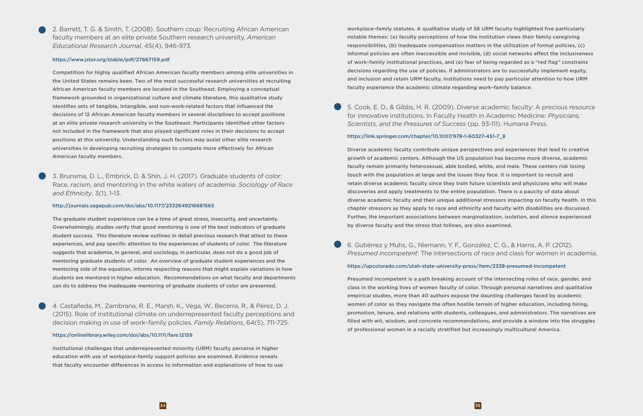2. Barrett, T. G. & Smith, T. (2008). Southern coup: Recruiting African American faculty members at an elite private Southern research university. *American Educational Research Journal*, 45(4), 946-973.

#### https://www.jstor.org/stable/pdf/27667159.pdf

Competition for highly qualified African American faculty members among elite universities in the United States remains keen. Two of the most successful research universities at recruiting African American faculty members are located in the Southeast. Employing a conceptual framework grounded in organizational culture and climate literature, this qualitative study identifies sets of tangible, intangible, and non-work-related factors that influenced the decisions of 12 African American faculty members in several disciplines to accept positions at an elite private research university in the Southeast. Participants identified other factors not included in the framework that also played significant roles in their decisions to accept positions at this university. Understanding such factors may assist other elite research universities in developing recruiting strategies to compete more effectively for African American faculty members.

3. Brunsma, D. L., Embrick, D. & Shin, J. H. (2017). Graduate students of color: Race, racism, and mentoring in the white waters of academia. *Sociology of Race and Ethnicity*, 3(1), 1-13.

#### http://journals.sagepub.com/doi/abs/10.1177/2332649216681565

The graduate student experience can be a time of great stress, insecurity, and uncertainty. Overwhelmingly, studies verify that good mentoring is one of the best indicators of graduate student success. This literature review outlines in detail previous research that attest to these experiences, and pay specific attention to the experiences of students of color. The literature suggests that academia, in general, and sociology, in particular, does not do a good job of mentoring graduate students of color. An overview of graduate student experiences and the mentoring side of the equation, informs respecting reasons that might explain variations in how students are mentored in higher education. Recommendations on what faculty and departments can do to address the inadequate mentoring of graduate students of color are presented.

4. Castañeda, M., Zambrana, R. E., Marsh, K., Vega, W., Becerra, R., & Pérez, D. J. (2015). Role of institutional climate on underrepresented faculty perceptions and decision making in use of work–family policies. *Family Relations*, 64(5), 711-725.

#### https://onlinelibrary.wiley.com/doi/abs/10.1111/fare.12159

Institutional challenges that underrepresented minority (URM) faculty perceive in higher education with use of workplace-family support policies are examined. Evidence reveals that faculty encounter differences in access to information and explanations of how to use workplace–family statutes. A qualitative study of 58 URM faculty highlighted five particularly notable themes: (a) faculty perceptions of how the institution views their family caregiving responsibilities, (b) inadequate compensation matters in the utilization of formal policies, (c) informal policies are often inaccessible and invisible, (d) social networks affect the inclusiveness of work–family institutional practices, and (e) fear of being regarded as a "red flag" constrains decisions regarding the use of policies. If administrators are to successfully implement equity, and inclusion and retain URM faculty, institutions need to pay particular attention to how URM faculty experience the academic climate regarding work–family balance.

5. Cook, E. D., & Gibbs, H. R. (2009). Diverse academic faculty: A precious resource for innovative institutions. In Faculty Health in Academic Medicine: *Physicians, Scientists, and the Pressures of Success* (pp. 93-111). Humana Press.

#### https://link.springer.com/chapter/10.1007/978-1-60327-451-7\_8

Diverse academic faculty contribute unique perspectives and experiences that lead to creative growth of academic centers. Although the US population has become more diverse, academic faculty remain primarily heterosexual, able bodied, white, and male. These centers risk losing touch with the population at large and the issues they face. It is important to recruit and retain diverse academic faculty since they train future scientists and physicians who will make discoveries and apply treatments to the entire population. There is a paucity of data about diverse academic faculty and their unique additional stressors impacting on faculty health. In this chapter stressors as they apply to race and ethnicity and faculty with disabilities are discussed. Further, the important associations between marginalization, isolation, and silence experienced by diverse faculty and the stress that follows, are also examined.

6. Gutiérrez y Muhs, G., Niemann, Y. F., González, C. G., & Harris, A. P. (2012). *Presumed incompetent*: The intersections of race and class for women in academia.

#### https://upcolorado.com/utah-state-university-press/item/2338-presumed-incompetent

Presumed Incompetent is a path breaking account of the intersecting roles of race, gender, and class in the working lives of women faculty of color. Through personal narratives and qualitative empirical studies, more than 40 authors expose the daunting challenges faced by academic women of color as they navigate the often hostile terrain of higher education, including hiring, promotion, tenure, and relations with students, colleagues, and administrators. The narratives are filled with wit, wisdom, and concrete recommendations, and provide a window into the struggles of professional women in a racially stratified but increasingly multicultural America.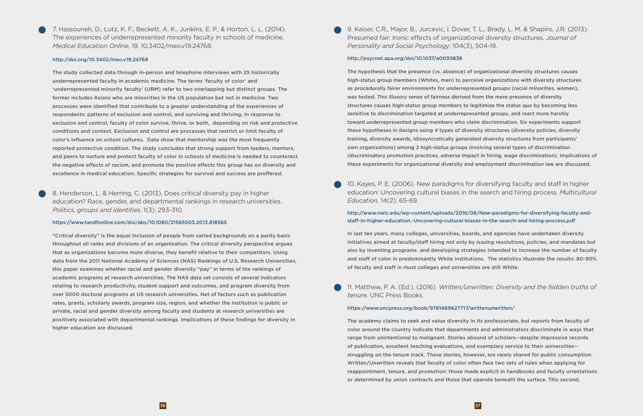7. Hassouneh, D., Lutz, K. F., Beckett, A. K., Junkins, E. P., & Horton, L. L. (2014). The experiences of underrepresented minority faculty in schools of medicine. *Medical Education Online*, 19, 10.3402/meo.v19.24768.

#### http://doi.org/10.3402/meo.v19.24768

The study collected data through in-person and telephone interviews with 25 historically underrepresented faculty in academic medicine. The terms 'faculty of color' and 'underrepresented minority faculty' (URM) refer to two overlapping but distinct groups. The former includes Asians who are minorities in the US population but not in medicine. Two processes were identified that contribute to a greater understanding of the experiences of respondents: patterns of exclusion and control, and surviving and thriving. In response to exclusion and control, faculty of color survive, thrive, or both, depending on risk and protective conditions and context. Exclusion and control are processes that restrict or limit faculty of color's influence on school cultures. Data show that mentorship was the most frequently reported protective condition. The study concludes that strong support from leaders, mentors, and peers to nurture and protect faculty of color in schools of medicine is needed to counteract the negative effects of racism, and promote the positive effects this group has on diversity and excellence in medical education. Specific strategies for survival and success are proffered.

8. Henderson, L. & Herring, C. (2013). Does critical diversity pay in higher education? Race, gender, and departmental rankings in research universities. *Politics, groups and identities*. 1(3), 293-310.

#### https://www.tandfonline.com/doi/abs/10.1080/21565503.2013.818565

"Critical diversity" is the equal inclusion of people from varied backgrounds on a parity basis throughout all ranks and divisions of an organization. The critical diversity perspective argues that as organizations become more diverse, they benefit relative to their competitors. Using data from the 2011 National Academy of Sciences (NAS) Rankings of U.S. Research Universities, this paper examines whether racial and gender diversity "pay" in terms of the rankings of academic programs at research universities. The NAS data set consists of several indicators relating to research productivity, student support and outcomes, and program diversity from over 5000 doctoral programs at US research universities. Net of factors such as publication rates, grants, scholarly awards, program size, region, and whether the institution is public or private, racial and gender diversity among faculty and students at research universities are positively associated with departmental rankings. Implications of these findings for diversity in higher education are discussed.

9. Kaiser, C.R., Major, B., Jurcevic, I. Dover, T. L., Brady, L. M. & Shapiro, J.R. (2013). Presumed fair: Ironic effects of organizational diversity structures. *Journal of Personality and Social Psychology*, 104(3), 504-19.

#### http://psycnet.apa.org/doi/10.1037/a0030838

The hypothesis that the presence (vs. absence) of organizational diversity structures causes high-status group members (Whites, men) to perceive organizations with diversity structures as procedurally fairer environments for underrepresented groups (racial minorities, women), was tested. This illusory sense of fairness derived from the mere presence of diversity structures causes high-status group members to legitimize the status quo by becoming less sensitive to discrimination targeted at underrepresented groups, and react more harshly toward underrepresented group members who claim discrimination. Six experiments support these hypotheses in designs using 4 types of diversity structures (diversity policies, diversity training, diversity awards, idiosyncratically generated diversity structures from participants' own organizations) among 2 high-status groups involving several types of discrimination (discriminatory promotion practices, adverse impact in hiring, wage discrimination). Implications of these experiments for organizational diversity and employment discrimination law are discussed.

10. Kayes, P. E. (2006). New paradigms for diversifying faculty and staff in higher education: Uncovering cultural biases in the search and hiring process. *Multicultural Education*, 14(2), 65-69.

#### http://www.nwic.edu/wp-content/uploads/2016/08/New-paradigms-for-diversifying-faculty-andstaff-in-higher-education.-Uncovering-cultural-biases-in-the-search-and-hiring-process.pdf

In last ten years, many colleges, universities, boards, and agencies have undertaken diversity initiatives aimed at faculty/staff hiring not only by issuing resolutions, policies, and mandates but also by inventing programs and developing strategies intended to increase the number of faculty and staff of color in predominantly White institutions. The statistics illustrate the results: 80-90% of faculty and staff in most colleges and universities are still White.

11. Matthew, P. A. (Ed.). (2016). *Written/unwritten: Diversity and the hidden truths of tenur*e. UNC Press Books.

#### https://www.uncpress.org/book/9781469627717/writtenunwritten/

The academy claims to seek and value diversity in its professoriate, but reports from faculty of color around the country indicate that departments and administrators discriminate in ways that range from unintentional to malignant. Stories abound of scholars--despite impressive records of publication, excellent teaching evaluations, and exemplary service to their universities- struggling on the tenure track. These stories, however, are rarely shared for public consumption. Written/Unwritten reveals that faculty of color often face two sets of rules when applying for reappointment, tenure, and promotion: those made explicit in handbooks and faculty orientations or determined by union contracts and those that operate beneath the surface. This second,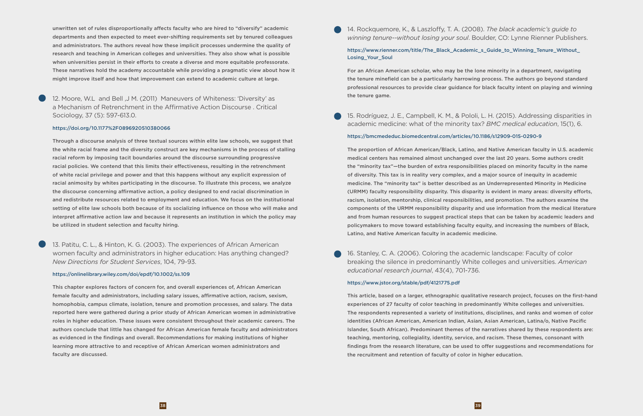unwritten set of rules disproportionally affects faculty who are hired to "diversify" academic departments and then expected to meet ever-shifting requirements set by tenured colleagues and administrators. The authors reveal how these implicit processes undermine the quality of research and teaching in American colleges and universities. They also show what is possible when universities persist in their efforts to create a diverse and more equitable professorate. These narratives hold the academy accountable while providing a pragmatic view about how it might improve itself and how that improvement can extend to academic culture at large.

12. Moore, W.L and Bell ,J M. (2011) Maneuvers of Whiteness: 'Diversity' as a Mechanism of Retrenchment in the Affirmative Action Discourse . Critical Sociology, 37 (5): 597-613.0.

#### https://doi.org/10.1177%2F0896920510380066

Through a discourse analysis of three textual sources within elite law schools, we suggest that the white racial frame and the diversity construct are key mechanisms in the process of stalling racial reform by imposing tacit boundaries around the discourse surrounding progressive racial policies. We contend that this limits their effectiveness, resulting in the retrenchment of white racial privilege and power and that this happens without any explicit expression of racial animosity by whites participating in the discourse. To illustrate this process, we analyze the discourse concerning affirmative action, a policy designed to end racial discrimination in and redistribute resources related to employment and education. We focus on the institutional setting of elite law schools both because of its socializing influence on those who will make and interpret affirmative action law and because it represents an institution in which the policy may be utilized in student selection and faculty hiring.

#### https://www.rienner.com/title/The\_Black\_Academic\_s\_Guide\_to\_Winning\_Tenure\_Without\_ Losing\_Your\_Soul

13. Patitu, C. L., & Hinton, K. G. (2003). The experiences of African American women faculty and administrators in higher education: Has anything changed? *New Directions for Student Services*, 104, 79-93.

#### https://onlinelibrary.wiley.com/doi/epdf/10.1002/ss.109

This chapter explores factors of concern for, and overall experiences of, African American female faculty and administrators, including salary issues, affirmative action, racism, sexism, homophobia, campus climate, isolation, tenure and promotion processes, and salary. The data reported here were gathered during a prior study of African American women in administrative roles in higher education. These issues were consistent throughout their academic careers. The authors conclude that little has changed for African American female faculty and administrators as evidenced in the findings and overall. Recommendations for making institutions of higher learning more attractive to and receptive of African American women administrators and faculty are discussed.

14. Rockquemore, K., & Laszloffy, T. A. (2008). *The black academic's guide to winning tenure--without losing your soul*. Boulder, CO: Lynne Rienner Publishers.

For an African American scholar, who may be the lone minority in a department, navigating the tenure minefield can be a particularly harrowing process. The authors go beyond standard professional resources to provide clear guidance for black faculty intent on playing and winning the tenure game.

15. Rodríguez, J. E., Campbell, K. M., & Pololi, L. H. (2015). Addressing disparities in academic medicine: what of the minority tax? *BMC medical education*, 15(1), 6.

#### https://bmcmededuc.biomedcentral.com/articles/10.1186/s12909-015-0290-9

The proportion of African American/Black, Latino, and Native American faculty in U.S. academic medical centers has remained almost unchanged over the last 20 years. Some authors credit the "minority tax"—the burden of extra responsibilities placed on minority faculty in the name of diversity. This tax is in reality very complex, and a major source of inequity in academic medicine. The "minority tax" is better described as an Underrepresented Minority in Medicine (URMM) faculty responsibility disparity. This disparity is evident in many areas: diversity efforts, racism, isolation, mentorship, clinical responsibilities, and promotion. The authors examine the components of the URMM responsibility disparity and use information from the medical literature and from human resources to suggest practical steps that can be taken by academic leaders and policymakers to move toward establishing faculty equity, and increasing the numbers of Black, Latino, and Native American faculty in academic medicine.

16. Stanley, C. A. (2006). Coloring the academic landscape: Faculty of color breaking the silence in predominantly White colleges and universities. *American educational research journal*, 43(4), 701-736.

#### https://www.jstor.org/stable/pdf/4121775.pdf

This article, based on a larger, ethnographic qualitative research project, focuses on the first-hand experiences of 27 faculty of color teaching in predominantly White colleges and universities. The respondents represented a variety of institutions, disciplines, and ranks and women of color identities (African American, American Indian, Asian, Asian American, Latina/o, Native Pacific Islander, South African). Predominant themes of the narratives shared by these respondents are: teaching, mentoring, collegiality, identity, service, and racism. These themes, consonant with findings from the research literature, can be used to offer suggestions and recommendations for the recruitment and retention of faculty of color in higher education.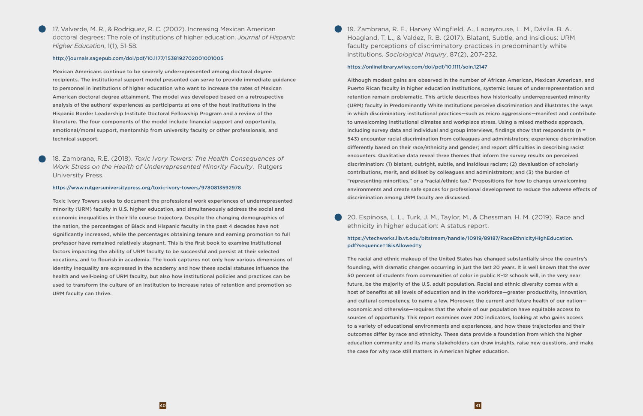17. Valverde, M. R., & Rodriguez, R. C. (2002). Increasing Mexican American doctoral degrees: The role of institutions of higher education. *Journal of Hispanic Higher Education*, 1(1), 51-58.

#### http://journals.sagepub.com/doi/pdf/10.1177/1538192702001001005

Mexican Americans continue to be severely underrepresented among doctoral degree recipients. The institutional support model presented can serve to provide immediate guidance to personnel in institutions of higher education who want to increase the rates of Mexican American doctoral degree attainment. The model was developed based on a retrospective analysis of the authors' experiences as participants at one of the host institutions in the Hispanic Border Leadership Institute Doctoral Fellowship Program and a review of the literature. The four components of the model include financial support and opportunity, emotional/moral support, mentorship from university faculty or other professionals, and technical support.

18. Zambrana, R.E. (2018). *Toxic Ivory Towers: The Health Consequences of Work Stress on the Health of Underrepresented Minority Faculty*. Rutgers University Press.

#### https://www.rutgersuniversitypress.org/toxic-ivory-towers/9780813592978

Toxic Ivory Towers seeks to document the professional work experiences of underrepresented minority (URM) faculty in U.S. higher education, and simultaneously address the social and economic inequalities in their life course trajectory. Despite the changing demographics of the nation, the percentages of Black and Hispanic faculty in the past 4 decades have not significantly increased, while the percentages obtaining tenure and earning promotion to full professor have remained relatively stagnant. This is the first book to examine institutional factors impacting the ability of URM faculty to be successful and persist at their selected vocations, and to flourish in academia. The book captures not only how various dimensions of identity inequality are expressed in the academy and how these social statuses influence the health and well-being of URM faculty, but also how institutional policies and practices can be used to transform the culture of an institution to increase rates of retention and promotion so URM faculty can thrive.

19. Zambrana, R. E., Harvey Wingfield, A., Lapeyrouse, L. M., Dávila, B. A., Hoagland, T. L., & Valdez, R. B. (2017). Blatant, Subtle, and Insidious: URM faculty perceptions of discriminatory practices in predominantly white institutions. *Sociological Inquiry*, 87(2), 207-232.

#### https://onlinelibrary.wiley.com/doi/pdf/10.1111/soin.12147

Although modest gains are observed in the number of African American, Mexican American, and Puerto Rican faculty in higher education institutions, systemic issues of underrepresentation and retention remain problematic. This article describes how historically underrepresented minority (URM) faculty in Predominantly White Institutions perceive discrimination and illustrates the ways in which discriminatory institutional practices—such as micro aggressions—manifest and contribute to unwelcoming institutional climates and workplace stress. Using a mixed methods approach, including survey data and individual and group interviews, findings show that respondents ( $n =$ 543) encounter racial discrimination from colleagues and administrators; experience discrimination differently based on their race/ethnicity and gender; and report difficulties in describing racist encounters. Qualitative data reveal three themes that inform the survey results on perceived discrimination: (1) blatant, outright, subtle, and insidious racism; (2) devaluation of scholarly contributions, merit, and skillset by colleagues and administrators; and (3) the burden of "representing minorities," or a "racial/ethnic tax." Propositions for how to change unwelcoming environments and create safe spaces for professional development to reduce the adverse effects of discrimination among URM faculty are discussed.

20. Espinosa, L. L., Turk, J. M., Taylor, M., & Chessman, H. M. (2019). Race and ethnicity in higher education: A status report.

#### https://vtechworks.lib.vt.edu/bitstream/handle/10919/89187/RaceEthnicityHighEducation. pdf?sequence=1&isAllowed=y

The racial and ethnic makeup of the United States has changed substantially since the country's founding, with dramatic changes occurring in just the last 20 years. It is well known that the over 50 percent of students from communities of color in public K–12 schools will, in the very near future, be the majority of the U.S. adult population. Racial and ethnic diversity comes with a host of benefits at all levels of education and in the workforce—greater productivity, innovation, and cultural competency, to name a few. Moreover, the current and future health of our nation economic and otherwise—requires that the whole of our population have equitable access to sources of opportunity. This report examines over 200 indicators, looking at who gains access to a variety of educational environments and experiences, and how these trajectories and their outcomes differ by race and ethnicity. These data provide a foundation from which the higher education community and its many stakeholders can draw insights, raise new questions, and make the case for why race still matters in American higher education.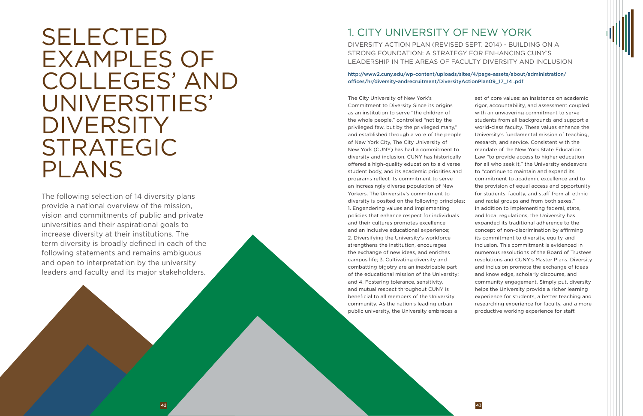# <span id="page-23-0"></span>SELECTED EXAMPLES OF COLLEGES' AND UNIVERSITIES' **DIVERSITY** STRATEGIC PLANS

# 1. CITY UNIVERSITY OF NEW YORK

DIVERSITY ACTION PLAN (REVISED SEPT. 2014) - BUILDING ON A STRONG FOUNDATION: A STRATEGY FOR ENHANCING CUNY'S LEADERSHIP IN THE AREAS OF FACULTY DIVERSITY AND INCLUSION

http://www2.cuny.edu/wp-content/uploads/sites/4/page-assets/about/administration/ offices/hr/diversity-andrecruitment/DiversityActionPlan09\_17\_14 .pdf

The following selection of 14 diversity plans provide a national overview of the mission, vision and commitments of public and private universities and their aspirational goals to increase diversity at their institutions. The term diversity is broadly defined in each of the following statements and remains ambiguous and open to interpretation by the university leaders and faculty and its major stakeholders.

The City University of New York's Commitment to Diversity Since its origins as an institution to serve "the children of the whole people," controlled "not by the privileged few, but by the privileged many," and established through a vote of the people of New York City, The City University of New York (CUNY) has had a commitment to diversity and inclusion. CUNY has historically offered a high-quality education to a diverse student body, and its academic priorities and programs reflect its commitment to serve an increasingly diverse population of New Yorkers. The University's commitment to diversity is posited on the following principles: 1. Engendering values and implementing policies that enhance respect for individuals and their cultures promotes excellence and an inclusive educational experience; 2. Diversifying the University's workforce strengthens the institution, encourages the exchange of new ideas, and enriches campus life; 3. Cultivating diversity and combatting bigotry are an inextricable part of the educational mission of the University; and 4. Fostering tolerance, sensitivity, and mutual respect throughout CUNY is beneficial to all members of the University community. As the nation's leading urban public university, the University embraces a

set of core values: an insistence on academic rigor, accountability, and assessment coupled with an unwavering commitment to serve students from all backgrounds and support a world-class faculty. These values enhance the University's fundamental mission of teaching, research, and service. Consistent with the mandate of the New York State Education Law "to provide access to higher education for all who seek it," the University endeavors to "continue to maintain and expand its commitment to academic excellence and to the provision of equal access and opportunity for students, faculty, and staff from all ethnic and racial groups and from both sexes." In addition to implementing federal, state, and local regulations, the University has expanded its traditional adherence to the concept of non-discrimination by affirming its commitment to diversity, equity, and inclusion. This commitment is evidenced in numerous resolutions of the Board of Trustees resolutions and CUNY's Master Plans. Diversity and inclusion promote the exchange of ideas and knowledge, scholarly discourse, and community engagement. Simply put, diversity helps the University provide a richer learning experience for students, a better teaching and researching experience for faculty, and a more productive working experience for staff.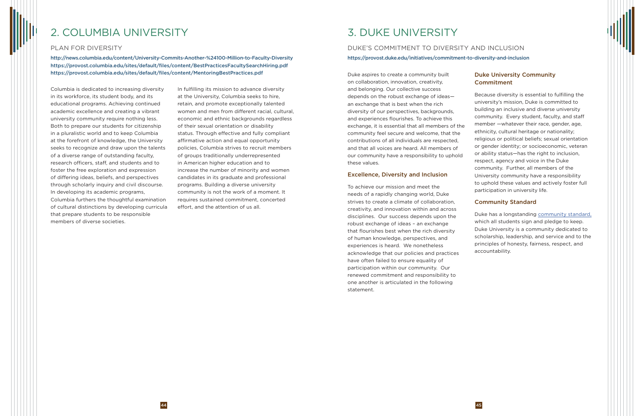Duke aspires to create a community built on collaboration, innovation, creativity, and belonging. Our collective success depends on the robust exchange of ideas an exchange that is best when the rich diversity of our perspectives, backgrounds, and experiences flourishes. To achieve this exchange, it is essential that all members of the community feel secure and welcome, that the contributions of all individuals are respected, and that all voices are heard. All members of our community have a responsibility to uphold these values.

#### Excellence, Diversity and Inclusion

### Duke University Community **Commitment**

To achieve our mission and meet the needs of a rapidly changing world, Duke strives to create a climate of collaboration, creativity, and innovation within and across disciplines. Our success depends upon the robust exchange of ideas – an exchange that flourishes best when the rich diversity of human knowledge, perspectives, and experiences is heard. We nonetheless acknowledge that our policies and practices have often failed to ensure equality of participation within our community. Our renewed commitment and responsibility to one another is articulated in the following statement.

Because diversity is essential to fulfilling the university's mission, Duke is committed to building an inclusive and diverse university community. Every student, faculty, and staff member —whatever their race, gender, age, ethnicity, cultural heritage or nationality; religious or political beliefs; sexual orientation or gender identity; or socioeconomic, veteran or ability status—has the right to inclusion, respect, agency and voice in the Duke community. Further, all members of the University community have a responsibility to uphold these values and actively foster full participation in university life.

#### Community Standard

Duke has a longstanding [community standard,](https://studentaffairs.duke.edu/conduct/about-us/duke-community-standard) which all students sign and pledge to keep. Duke University is a community dedicated to scholarship, leadership, and service and to the principles of honesty, fairness, respect, and accountability.

# 2. COLUMBIA UNIVERSITY

#### PLAN FOR DIVERSITY

http://news.columbia.edu/content/University-Commits-Another-%24100-Million-to-Faculty-Diversity https://provost.columbia.edu/sites/default/files/content/BestPracticesFacultySearchHiring.pdf https://provost.columbia.edu/sites/default/files/content/MentoringBestPractices.pdf

Columbia is dedicated to increasing diversity in its workforce, its student body, and its educational programs. Achieving continued academic excellence and creating a vibrant university community require nothing less. Both to prepare our students for citizenship in a pluralistic world and to keep Columbia at the forefront of knowledge, the University seeks to recognize and draw upon the talents of a diverse range of outstanding faculty, research officers, staff, and students and to foster the free exploration and expression of differing ideas, beliefs, and perspectives through scholarly inquiry and civil discourse. In developing its academic programs, Columbia furthers the thoughtful examination of cultural distinctions by developing curricula that prepare students to be responsible members of diverse societies.

In fulfilling its mission to advance diversity at the University, Columbia seeks to hire, retain, and promote exceptionally talented women and men from different racial, cultural, economic and ethnic backgrounds regardless of their sexual orientation or disability status. Through effective and fully compliant affirmative action and equal opportunity policies, Columbia strives to recruit members of groups traditionally underrepresented in American higher education and to increase the number of minority and women candidates in its graduate and professional programs. Building a diverse university community is not the work of a moment. It requires sustained commitment, concerted effort, and the attention of us all.

# 3. DUKE UNIVERSITY

## DUKE'S COMMITMENT TO DIVERSITY AND INCLUSION https://provost.duke.edu/initiatives/commitment-to-diversity-and-inclusion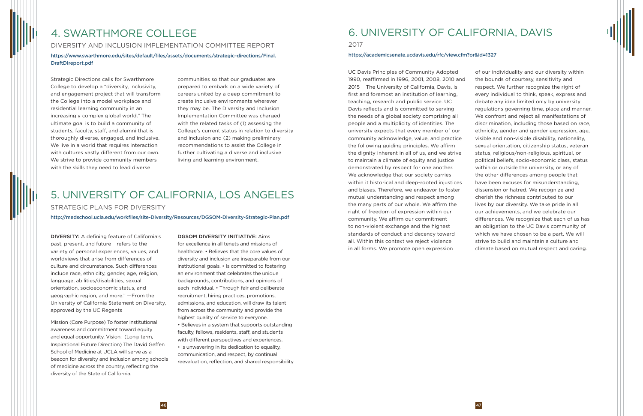DIVERSITY: A defining feature of California's past, present, and future – refers to the variety of personal experiences, values, and worldviews that arise from differences of culture and circumstance. Such differences include race, ethnicity, gender, age, religion, language, abilities/disabilities, sexual orientation, socioeconomic status, and geographic region, and more." —From the University of California Statement on Diversity, approved by the UC Regents

Mission (Core Purpose) To foster institutional awareness and commitment toward equity and equal opportunity. Vision: (Long-term, Inspirational Future Direction) The David Geffen School of Medicine at UCLA will serve as a beacon for diversity and inclusion among schools of medicine across the country, reflecting the diversity of the State of California.

#### DGSOM DIVERSITY INITIATIVE: Aims

for excellence in all tenets and missions of healthcare. • Believes that the core values of diversity and inclusion are inseparable from our institutional goals. • Is committed to fostering an environment that celebrates the unique backgrounds, contributions, and opinions of each individual. • Through fair and deliberate recruitment, hiring practices, promotions, admissions, and education, will draw its talent from across the community and provide the highest quality of service to everyone.

• Believes in a system that supports outstanding faculty, fellows, residents, staff, and students with different perspectives and experiences. • Is unwavering in its dedication to equality, communication, and respect, by continual reevaluation, reflection, and shared responsibility

## 5. UNIVERSITY OF CALIFORNIA, LOS ANGELES STRATEGIC PLANS FOR DIVERSITY

http://medschool.ucla.edu/workfiles/site-Diversity/Resources/DGSOM-Diversity-Strategic-Plan.pdf

Strategic Directions calls for Swarthmore College to develop a "diversity, inclusivity, and engagement project that will transform the College into a model workplace and residential learning community in an increasingly complex global world." The ultimate goal is to build a community of students, faculty, staff, and alumni that is thoroughly diverse, engaged, and inclusive. We live in a world that requires interaction with cultures vastly different from our own. We strive to provide community members with the skills they need to lead diverse

communities so that our graduates are prepared to embark on a wide variety of careers united by a deep commitment to create inclusive environments wherever they may be. The Diversity and Inclusion Implementation Committee was charged with the related tasks of (1) assessing the College's current status in relation to diversity and inclusion and (2) making preliminary recommendations to assist the College in further cultivating a diverse and inclusive living and learning environment.

UC Davis Principles of Community Adopted 1990, reaffirmed in 1996, 2001, 2008, 2010 and 2015 The University of California, Davis, is first and foremost an institution of learning, teaching, research and public service. UC Davis reflects and is committed to serving the needs of a global society comprising all people and a multiplicity of identities. The university expects that every member of our community acknowledge, value, and practice the following guiding principles. We affirm the dignity inherent in all of us, and we strive to maintain a climate of equity and justice demonstrated by respect for one another. We acknowledge that our society carries within it historical and deep-rooted injustices and biases. Therefore, we endeavor to foster mutual understanding and respect among the many parts of our whole. We affirm the right of freedom of expression within our community. We affirm our commitment to non-violent exchange and the highest standards of conduct and decency toward all. Within this context we reject violence in all forms. We promote open expression

of our individuality and our diversity within the bounds of courtesy, sensitivity and respect. We further recognize the right of every individual to think, speak, express and debate any idea limited only by university regulations governing time, place and manner. We confront and reject all manifestations of discrimination, including those based on race, ethnicity, gender and gender expression, age, visible and non-visible disability, nationality, sexual orientation, citizenship status, veteran status, religious/non-religious, spiritual, or political beliefs, socio-economic class, status within or outside the university, or any of the other differences among people that have been excuses for misunderstanding, dissension or hatred. We recognize and cherish the richness contributed to our lives by our diversity. We take pride in all our achievements, and we celebrate our differences. We recognize that each of us has an obligation to the UC Davis community of which we have chosen to be a part. We will strive to build and maintain a culture and climate based on mutual respect and caring.

# 4. SWARTHMORE COLLEGE

DIVERSITY AND INCLUSION IMPLEMENTATION COMMITTEE REPORT

https://www.swarthmore.edu/sites/default/files/assets/documents/strategic-directions/Final. DraftDIreport.pdf

# 6. UNIVERSITY OF CALIFORNIA, DAVIS

2017

#### https://academicsenate.ucdavis.edu/rfc/view.cfm?or&id=1327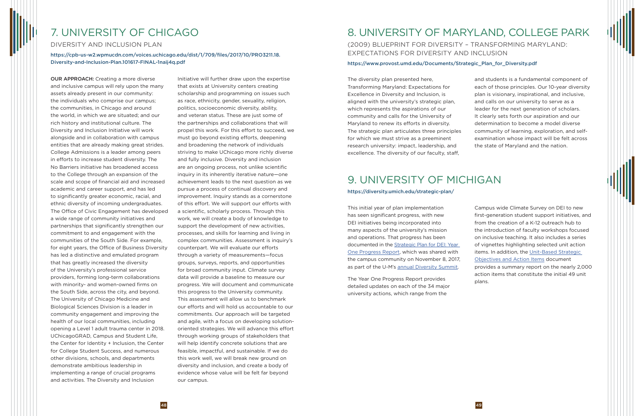The diversity plan presented here, Transforming Maryland: Expectations for Excellence in Diversity and Inclusion, is aligned with the university's strategic plan, which represents the aspirations of our community and calls for the University of Maryland to renew its efforts in diversity. The strategic plan articulates three principles for which we must strive as a preeminent research university: impact, leadership, and excellence. The diversity of our faculty, staff,

and students is a fundamental component of each of those principles. Our 10-year diversity plan is visionary, inspirational, and inclusive, and calls on our university to serve as a leader for the next generation of scholars. It clearly sets forth our aspiration and our determination to become a model diverse community of learning, exploration, and selfexamination whose impact will be felt across the state of Maryland and the nation.

This initial year of plan implementation has seen significant progress, with new DEI initiatives being incorporated into many aspects of the university's mission and operations. That progress has been documented in the [Strategic Plan for DEI: Year](https://diversity.umich.edu/wp-content/uploads/2017/11/Diversity_Equity_and_Inclusion_Year_One_Progress_Report.pdf)  [One Progress Report,](https://diversity.umich.edu/wp-content/uploads/2017/11/Diversity_Equity_and_Inclusion_Year_One_Progress_Report.pdf) which was shared with the campus community on November 8, 2017, as part of the U-M's [annual Diversity Summit](https://diversity.umich.edu/strategic-plan/summit-events/).

The Year One Progress Report provides detailed updates on each of the 34 major university actions, which range from the

Campus wide Climate Survey on DEI to new first-generation student support initiatives, and from the creation of a K-12 outreach hub to the introduction of faculty workshops focused on inclusive teaching. It also includes a series of vignettes highlighting selected unit action items. In addition, the [Unit-Based Strategic](https://diversity.umich.edu/wp-content/uploads/2017/11/dei-unitprogress.pdf)  [Objectives and Action Items](https://diversity.umich.edu/wp-content/uploads/2017/11/dei-unitprogress.pdf) document provides a summary report on the nearly 2,000 action items that constitute the initial 49 unit plans.

# 8. UNIVERSITY OF MARYLAND, COLLEGE PARK

## (2009) BLUEPRINT FOR DIVERSITY – TRANSFORMING MARYLAND: EXPECTATIONS FOR DIVERSITY AND INCLUSION

#### https://www.provost.umd.edu/Documents/Strategic\_Plan\_for\_Diversity.pdf

# 9. UNIVERSITY OF MICHIGAN

#### https://diversity.umich.edu/strategic-plan/

OUR APPROACH: Creating a more diverse and inclusive campus will rely upon the many assets already present in our community: the individuals who comprise our campus; the communities, in Chicago and around the world, in which we are situated; and our rich history and institutional culture. The Diversity and Inclusion Initiative will work alongside and in collaboration with campus entities that are already making great strides. College Admissions is a leader among peers in efforts to increase student diversity. The No Barriers initiative has broadened access to the College through an expansion of the scale and scope of financial aid and increased academic and career support, and has led to significantly greater economic, racial, and ethnic diversity of incoming undergraduates. The Office of Civic Engagement has developed a wide range of community initiatives and partnerships that significantly strengthen our commitment to and engagement with the communities of the South Side. For example, for eight years, the Office of Business Diversity has led a distinctive and emulated program that has greatly increased the diversity of the University's professional service providers, forming long-term collaborations with minority- and women-owned firms on the South Side, across the city, and beyond. The University of Chicago Medicine and Biological Sciences Division is a leader in community engagement and improving the health of our local communities, including opening a Level 1 adult trauma center in 2018. UChicagoGRAD, Campus and Student Life, the Center for Identity + Inclusion, the Center for College Student Success, and numerous other divisions, schools, and departments demonstrate ambitious leadership in implementing a range of crucial programs and activities. The Diversity and Inclusion

Initiative will further draw upon the expertise that exists at University centers creating scholarship and programming on issues such as race, ethnicity, gender, sexuality, religion, politics, socioeconomic diversity, ability, and veteran status. These are just some of the partnerships and collaborations that will propel this work. For this effort to succeed, we must go beyond existing efforts, deepening and broadening the network of individuals striving to make UChicago more richly diverse and fully inclusive. Diversity and inclusion are an ongoing process, not unlike scientific inquiry in its inherently iterative nature—one achievement leads to the next question as we pursue a process of continual discovery and improvement. Inquiry stands as a cornerstone of this effort. We will support our efforts with a scientific, scholarly process. Through this work, we will create a body of knowledge to support the development of new activities, processes, and skills for learning and living in complex communities. Assessment is inquiry's counterpart. We will evaluate our efforts through a variety of measurements—focus groups, surveys, reports, and opportunities for broad community input. Climate survey data will provide a baseline to measure our progress. We will document and communicate this progress to the University community. This assessment will allow us to benchmark our efforts and will hold us accountable to our commitments. Our approach will be targeted and agile, with a focus on developing solutionoriented strategies. We will advance this effort through working groups of stakeholders that will help identify concrete solutions that are feasible, impactful, and sustainable. If we do this work well, we will break new ground on diversity and inclusion, and create a body of evidence whose value will be felt far beyond our campus.

# 7. UNIVERSITY OF CHICAGO

DIVERSITY AND INCLUSION PLAN

https://cpb-us-w2.wpmucdn.com/voices.uchicago.edu/dist/1/709/files/2017/10/PRO3211.18. Diversity-and-Inclusion-Plan.101617-FINAL-1naij4q.pdf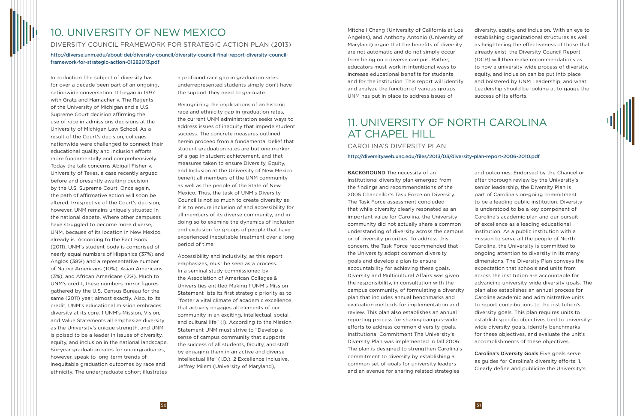# 11. UNIVERSITY OF NORTH CAROLINA AT CHAPEL HILL

CAROLINA'S DIVERSITY PLAN http://diversity.web.unc.edu/files/2013/03/diversity-plan-report-2006-2010.pdf

BACKGROUND The necessity of an institutional diversity plan emerged from the findings and recommendations of the 2005 Chancellor's Task Force on Diversity. The Task Force assessment concluded that while diversity clearly resonated as an important value for Carolina, the University community did not actually share a common understanding of diversity across the campus or of diversity priorities. To address this concern, the Task Force recommended that the University adopt common diversity goals and develop a plan to ensure accountability for achieving these goals. Diversity and Multicultural Affairs was given the responsibility, in consultation with the campus community, of formulating a diversity plan that includes annual benchmarks and evaluation methods for implementation and review. This plan also establishes an annual reporting process for sharing campus-wide efforts to address common diversity goals. Institutional Commitment The University's Diversity Plan was implemented in fall 2006. The plan is designed to strengthen Carolina's commitment to diversity by establishing a common set of goals for university leaders and an avenue for sharing related strategies

and outcomes. Endorsed by the Chancellor after thorough review by the University's senior leadership, the Diversity Plan is part of Carolina's on-going commitment to be a leading public institution. Diversity is understood to be a key component of Carolina's academic plan and our pursuit of excellence as a leading educational institution. As a public institution with a mission to serve all the people of North Carolina, the University is committed to ongoing attention to diversity in its many dimensions. The Diversity Plan conveys the expectation that schools and units from across the institution are accountable for advancing university-wide diversity goals. The plan also establishes an annual process for Carolina academic and administrative units to report contributions to the institution's diversity goals. This plan requires units to establish specific objectives tied to universitywide diversity goals, identify benchmarks for these objectives, and evaluate the unit's accomplishments of these objectives.

Carolina's Diversity Goals Five goals serve as guides for Carolina's diversity efforts: 1. Clearly define and publicize the University's

Mitchell Chang (University of California at Los Angeles), and Anthony Antonio (University of Maryland) argue that the benefits of diversity are not automatic and do not simply occur from being on a diverse campus. Rather, educators must work in intentional ways to increase educational benefits for students and for the institution. This report will identify and analyze the function of various groups UNM has put in place to address issues of

diversity, equity, and inclusion. With an eye to establishing organizational structures as well as heightening the effectiveness of those that already exist, the Diversity Council Report (DCR) will then make recommendations as to how a university-wide process of diversity, equity, and inclusion can be put into place and bolstered by UNM Leadership, and what Leadership should be looking at to gauge the success of its efforts.

Introduction The subject of diversity has for over a decade been part of an ongoing, nationwide conversation. It began in 1997 with Gratz and Hamacher v. The Regents of the University of Michigan and a U.S. Supreme Court decision affirming the use of race in admissions decisions at the University of Michigan Law School. As a result of the Court's decision, colleges nationwide were challenged to connect their educational quality and inclusion efforts more fundamentally and comprehensively. Today the talk concerns Abigail Fisher v. University of Texas, a case recently argued before and presently awaiting decision by the U.S. Supreme Court. Once again, the path of affirmative action will soon be altered. Irrespective of the Court's decision, however, UNM remains uniquely situated in the national debate. Where other campuses have struggled to become more diverse, UNM, because of its location in New Mexico, already is. According to the Fact Book (2011), UNM's student body is comprised of nearly equal numbers of Hispanics (37%) and Anglos (38%) and a representative number of Native Americans (10%), Asian Americans (3%), and African Americans (2%). Much to UNM's credit, these numbers mirror figures gathered by the U.S. Census Bureau for the same (2011) year, almost exactly. Also, to its credit, UNM's educational mission embraces diversity at its core. 1 UNM's Mission, Vision, and Value Statements all emphasize diversity as the University's unique strength, and UNM is poised to be a leader in issues of diversity, equity, and inclusion in the national landscape. Six-year graduation rates for undergraduates, however, speak to long-term trends of inequitable graduation outcomes by race and ethnicity. The undergraduate cohort illustrates

a profound race gap in graduation rates: underrepresented students simply don't have the support they need to graduate.

Recognizing the implications of an historic race and ethnicity gap in graduation rates, the current UNM administration seeks ways to address issues of inequity that impede student success. The concrete measures outlined herein proceed from a fundamental belief that student graduation rates are but one marker of a gap in student achievement, and that measures taken to ensure Diversity, Equity, and Inclusion at the University of New Mexico benefit all members of the UNM community as well as the people of the State of New Mexico. Thus, the task of UNM's Diversity Council is not so much to create diversity as it is to ensure inclusion of and accessibility for all members of its diverse community, and in doing so to examine the dynamics of inclusion and exclusion for groups of people that have experienced inequitable treatment over a long period of time.

Accessibility and inclusivity, as this report emphasizes, must be seen as a process. In a seminal study commissioned by the Association of American Colleges & Universities entitled Making 1 UNM's Mission Statement lists its first strategic priority as to "foster a vital climate of academic excellence that actively engages all elements of our community in an exciting, intellectual, social, and cultural life" (I). According to the Mission Statement UNM must strive to "Develop a sense of campus community that supports the success of all students, faculty, and staff by engaging them in an active and diverse intellectual life" (I.D.). 2 Excellence Inclusive, Jeffrey Milem (University of Maryland),

# 10. UNIVERSITY OF NEW MEXICO

### DIVERSITY COUNCIL FRAMEWORK FOR STRATEGIC ACTION PLAN (2013)

http://diverse.unm.edu/about-dei/diversity-council/diversity-council-final-report-diversity-councilframework-for-strategic-action-01282013.pdf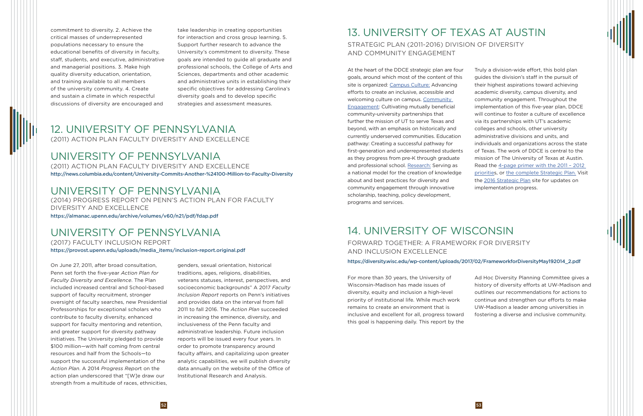At the heart of the DDCE strategic plan are four goals, around which most of the content of this site is organized: [Campus Culture:](https://diversity.utexas.edu/category/campus-culture/) Advancing efforts to create an inclusive, accessible and welcoming culture on campus. [Community](https://diversity.utexas.edu/category/community-engagement/)  [Engagement](https://diversity.utexas.edu/category/community-engagement/): Cultivating mutually beneficial community-university partnerships that further the mission of UT to serve Texas and beyond, with an emphasis on historically and currently underserved communities. Education pathway: Creating a successful pathway for first-generation and underrepresented students as they progress from pre-K through graduate and professional school. [Research:](https://diversity.utexas.edu/category/research/) Serving as a national model for the creation of knowledge about and best practices for diversity and community engagement through innovative scholarship, teaching, policy development, programs and services.

Truly a division-wide effort, this bold plan guides the division's staff in the pursuit of their highest aspirations toward achieving academic diversity, campus diversity, and community engagement. Throughout the implementation of this five-year plan, DDCE will continue to foster a culture of excellence via its partnerships with UT's academic colleges and schools, other university administrative divisions and units, and individuals and organizations across the state of Texas. The work of DDCE is central to the mission of The University of Texas at Austin. Read the [4-page primer with the 2011 – 2012](https://utexas.app.box.com/s/q7oo8x9wxxa2h76sy2ylytuxlvphsnf8)  [priorities](https://utexas.app.box.com/s/q7oo8x9wxxa2h76sy2ylytuxlvphsnf8), or the complete Strategic Plan. Visit the [2016 Strategic Plan](https://diversity.utexas.edu/2016/) site for updates on implementation progress.

For more than 30 years, the University of Wisconsin-Madison has made issues of diversity, equity and inclusion a high-level priority of institutional life. While much work remains to create an environment that is inclusive and excellent for all, progress toward this goal is happening daily. This report by the

Ad Hoc Diversity Planning Committee gives a history of diversity efforts at UW-Madison and outlines our recommendations for actions to continue and strengthen our efforts to make UW-Madison a leader among universities in fostering a diverse and inclusive community.

# 13. UNIVERSITY OF TEXAS AT AUSTIN

## STRATEGIC PLAN (2011-2016) DIVISION OF DIVERSITY AND COMMUNITY ENGAGEMENT

# 14. UNIVERSITY OF WISCONSIN

## FORWARD TOGETHER: A FRAMEWORK FOR DIVERSITY AND INCLUSION EXCELLENCE

## On June 27, 2011, after broad consultation, exercise sexual orientation, historical broads://diversity.wisc.edu/wp-content/uploads/2017/02/FrameworkforDiversityMay192014\_2.pdf on June 27, 2011, after broad consultation, ex

Penn set forth the five-year *Action Plan for Faculty Diversity and Excellence*. The Plan included increased central and School-based support of faculty recruitment, stronger oversight of faculty searches, new Presidential Professorships for exceptional scholars who contribute to faculty diversity, enhanced support for faculty mentoring and retention, and greater support for diversity pathway initiatives. The University pledged to provide \$100 million—with half coming from central resources and half from the Schools—to support the successful implementation of the *Action Plan*. A 2014 *Progress Repor*t on the action plan underscored that "[W]e draw our strength from a multitude of races, ethnicities,

genders, sexual orientation, historical traditions, ages, religions, disabilities, veterans statuses, interest, perspectives, and socioeconomic backgrounds" A 2017 *Faculty Inclusion Report* reports on Penn's initiatives and provides data on the interval from fall 2011 to fall 2016. The *Action Plan* succeeded in increasing the eminence, diversity, and inclusiveness of the Penn faculty and administrative leadership. Future inclusion reports will be issued every four years. In order to promote transparency around faculty affairs, and capitalizing upon greater analytic capabilities, we will publish diversity data annually on the website of the Office of Institutional Research and Analysis.

commitment to diversity. 2. Achieve the critical masses of underrepresented populations necessary to ensure the educational benefits of diversity in faculty, staff, students, and executive, administrative and managerial positions. 3. Make high quality diversity education, orientation, and training available to all members of the university community. 4. Create and sustain a climate in which respectful discussions of diversity are encouraged and

take leadership in creating opportunities for interaction and cross group learning. 5. Support further research to advance the University's commitment to diversity. These goals are intended to guide all graduate and professional schools, the College of Arts and Sciences, departments and other academic and administrative units in establishing their specific objectives for addressing Carolina's diversity goals and to develop specific strategies and assessment measures.

## 12. UNIVERSITY OF PENNSYLVANIA (2011) ACTION PLAN FACULTY DIVERSITY AND EXCELLENCE

## UNIVERSITY OF PENNSYLVANIA

(2011) ACTION PLAN FACULTY DIVERSITY AND EXCELLENCE http://news.columbia.edu/content/University-Commits-Another-%24100-Million-to-Faculty-Diversity

## UNIVERSITY OF PENNSYLVANIA

(2014) PROGRESS REPORT ON PENN'S ACTION PLAN FOR FACULTY DIVERSITY AND EXCELLENCE

### https://almanac.upenn.edu/archive/volumes/v60/n21/pdf/fdap.pdf

# UNIVERSITY OF PENNSYLVANIA

(2017) FACULTY INCLUSION REPORT https://provost.upenn.edu/uploads/media\_items/inclusion-report.original.pdf